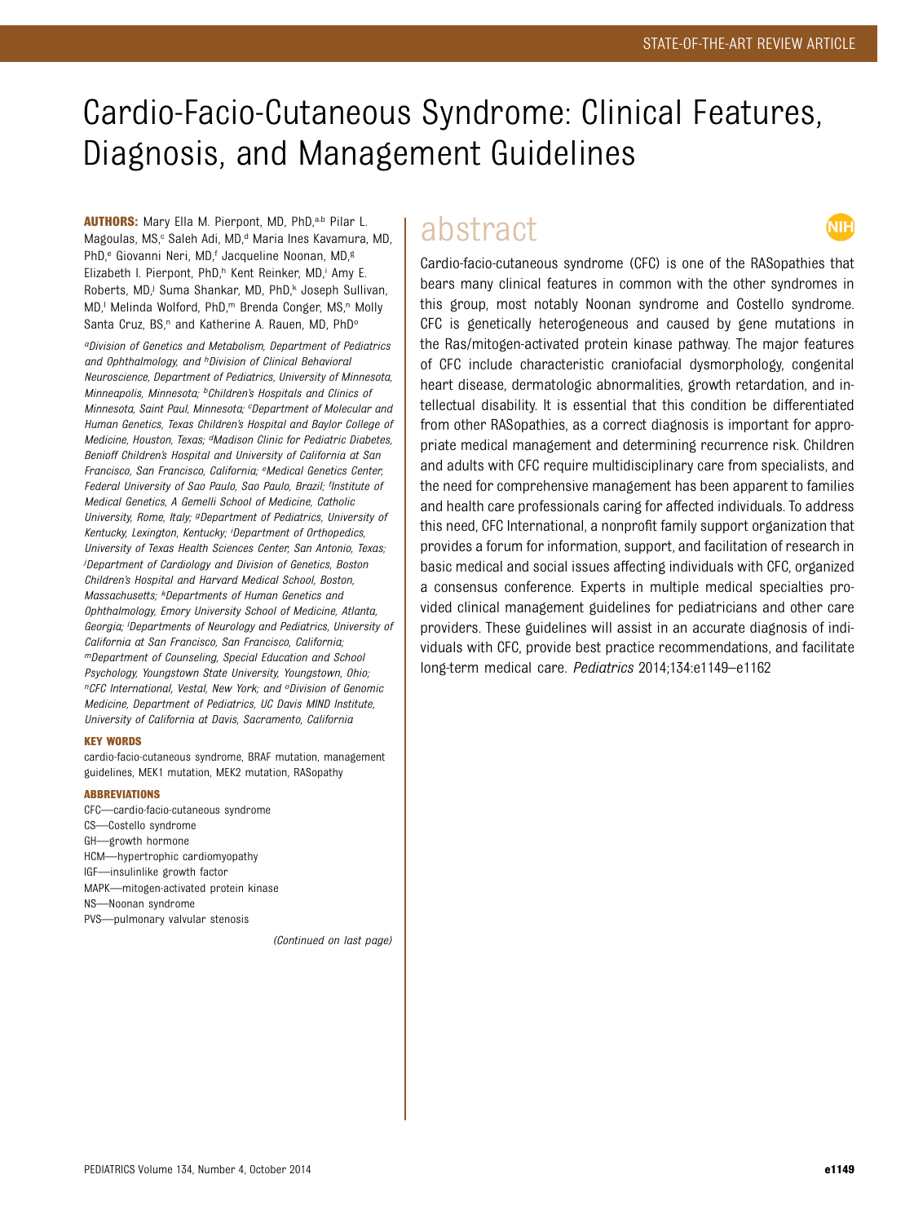# Cardio-Facio-Cutaneous Syndrome: Clinical Features, Diagnosis, and Management Guidelines

AUTHORS: Mary Ella M. Pierpont, MD, PhD,<sup>a,b</sup> Pilar L. Magoulas, MS,<sup>c</sup> Saleh Adi, MD,<sup>d</sup> Maria Ines Kavamura, MD, PhD,<sup>e</sup> Giovanni Neri, MD,<sup>f</sup> Jacqueline Noonan, MD,<sup>g</sup> Elizabeth I. Pierpont, PhD,<sup>h</sup> Kent Reinker, MD,<sup>i</sup> Amy E. Roberts, MD,<sup>j</sup> Suma Shankar, MD, PhD,<sup>k</sup> Joseph Sullivan, MD,<sup>1</sup> Melinda Wolford, PhD,<sup>m</sup> Brenda Conger, MS,<sup>n</sup> Molly Santa Cruz, BS,<sup>n</sup> and Katherine A. Rauen, MD, PhD<sup>o</sup>

aDivision of Genetics and Metabolism, Department of Pediatrics and Ophthalmology, and <sup>h</sup>Division of Clinical Behavioral Neuroscience, Department of Pediatrics, University of Minnesota, Minneapolis, Minnesota; <sup>b</sup>Children's Hospitals and Clinics of Minnesota, Saint Paul, Minnesota; <sup>c</sup>Department of Molecular and Human Genetics, Texas Children's Hospital and Baylor College of Medicine, Houston, Texas; dMadison Clinic for Pediatric Diabetes, Benioff Children's Hospital and University of California at San Francisco, San Francisco, California; eMedical Genetics Center, Federal University of Sao Paulo, Sao Paulo, Brazil; flnstitute of Medical Genetics, A Gemelli School of Medicine, Catholic University, Rome, Italy; <sup>g</sup>Department of Pediatrics, University of Kentucky, Lexington, Kentucky; <sup>i</sup>Department of Orthopedics, University of Texas Health Sciences Center, San Antonio, Texas; j Department of Cardiology and Division of Genetics, Boston Children's Hospital and Harvard Medical School, Boston, Massachusetts; kDepartments of Human Genetics and Ophthalmology, Emory University School of Medicine, Atlanta, Georgia; <sup>I</sup>Departments of Neurology and Pediatrics, University of California at San Francisco, San Francisco, California; mDepartment of Counseling, Special Education and School Psychology, Youngstown State University, Youngstown, Ohio; <sup>n</sup>CFC International, Vestal, New York; and <sup>o</sup>Division of Genomic Medicine, Department of Pediatrics, UC Davis MIND Institute, University of California at Davis, Sacramento, California

#### KEY WORDS

cardio-facio-cutaneous syndrome, BRAF mutation, management guidelines, MEK1 mutation, MEK2 mutation, RASopathy

#### ABBREVIATIONS

CFC—cardio-facio-cutaneous syndrome CS—Costello syndrome GH—growth hormone HCM—hypertrophic cardiomyopathy IGF—insulinlike growth factor MAPK—mitogen-activated protein kinase NS—Noonan syndrome PVS—pulmonary valvular stenosis

(Continued on last page)

## abstract

NIH

Cardio-facio-cutaneous syndrome (CFC) is one of the RASopathies that bears many clinical features in common with the other syndromes in this group, most notably Noonan syndrome and Costello syndrome. CFC is genetically heterogeneous and caused by gene mutations in the Ras/mitogen-activated protein kinase pathway. The major features of CFC include characteristic craniofacial dysmorphology, congenital heart disease, dermatologic abnormalities, growth retardation, and intellectual disability. It is essential that this condition be differentiated from other RASopathies, as a correct diagnosis is important for appropriate medical management and determining recurrence risk. Children and adults with CFC require multidisciplinary care from specialists, and the need for comprehensive management has been apparent to families and health care professionals caring for affected individuals. To address this need, CFC International, a nonprofit family support organization that provides a forum for information, support, and facilitation of research in basic medical and social issues affecting individuals with CFC, organized a consensus conference. Experts in multiple medical specialties provided clinical management guidelines for pediatricians and other care providers. These guidelines will assist in an accurate diagnosis of individuals with CFC, provide best practice recommendations, and facilitate long-term medical care. Pediatrics 2014;134:e1149–e1162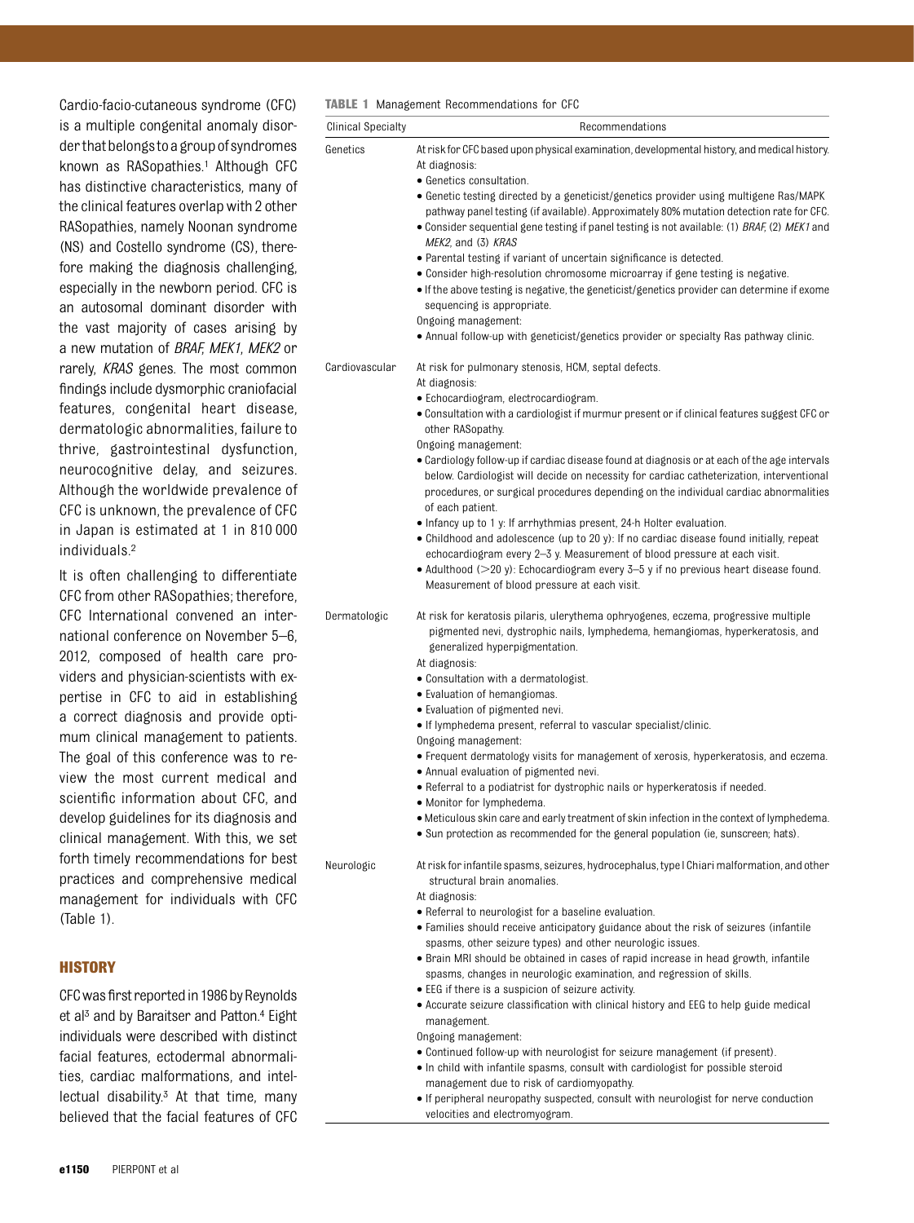Cardio-facio-cutaneous syndrome (CFC) is a multiple congenital anomaly disorderthatbelongstoagroupofsyndromes known as RASopathies.<sup>1</sup> Although CFC has distinctive characteristics, many of the clinical features overlap with 2 other RASopathies, namely Noonan syndrome (NS) and Costello syndrome (CS), therefore making the diagnosis challenging, especially in the newborn period. CFC is an autosomal dominant disorder with the vast majority of cases arising by a new mutation of BRAF, MEK1, MEK2 or rarely, KRAS genes. The most common findings include dysmorphic craniofacial features, congenital heart disease, dermatologic abnormalities, failure to thrive, gastrointestinal dysfunction, neurocognitive delay, and seizures. Although the worldwide prevalence of CFC is unknown, the prevalence of CFC in Japan is estimated at 1 in 810 000 individuals.2

It is often challenging to differentiate CFC from other RASopathies; therefore, CFC International convened an international conference on November 5–6, 2012, composed of health care providers and physician-scientists with expertise in CFC to aid in establishing a correct diagnosis and provide optimum clinical management to patients. The goal of this conference was to review the most current medical and scientific information about CFC, and develop guidelines for its diagnosis and clinical management. With this, we set forth timely recommendations for best practices and comprehensive medical management for individuals with CFC (Table 1).

#### **HISTORY**

CFC was first reported in 1986 by Reynolds et al<sup>3</sup> and by Baraitser and Patton.<sup>4</sup> Eight individuals were described with distinct facial features, ectodermal abnormalities, cardiac malformations, and intellectual disability.3 At that time, many believed that the facial features of CFC TABLE 1 Management Recommendations for CFC

| <b>Clinical Specialty</b> | Recommendations                                                                                                                                                                          |
|---------------------------|------------------------------------------------------------------------------------------------------------------------------------------------------------------------------------------|
| Genetics                  | At risk for CFC based upon physical examination, developmental history, and medical history.                                                                                             |
|                           | At diagnosis:                                                                                                                                                                            |
|                           | • Genetics consultation.                                                                                                                                                                 |
|                           | • Genetic testing directed by a geneticist/genetics provider using multigene Ras/MAPK                                                                                                    |
|                           | pathway panel testing (if available). Approximately 80% mutation detection rate for CFC.                                                                                                 |
|                           | • Consider sequential gene testing if panel testing is not available: (1) BRAF, (2) MEK1 and                                                                                             |
|                           | MEK2, and (3) KRAS<br>• Parental testing if variant of uncertain significance is detected.                                                                                               |
|                           | • Consider high-resolution chromosome microarray if gene testing is negative.                                                                                                            |
|                           | • If the above testing is negative, the geneticist/genetics provider can determine if exome                                                                                              |
|                           | sequencing is appropriate.                                                                                                                                                               |
|                           | Ongoing management:                                                                                                                                                                      |
|                           | • Annual follow-up with geneticist/genetics provider or specialty Ras pathway clinic.                                                                                                    |
| Cardiovascular            | At risk for pulmonary stenosis, HCM, septal defects.                                                                                                                                     |
|                           | At diagnosis:                                                                                                                                                                            |
|                           | · Echocardiogram, electrocardiogram.                                                                                                                                                     |
|                           | · Consultation with a cardiologist if murmur present or if clinical features suggest CFC or                                                                                              |
|                           | other RASopathy.                                                                                                                                                                         |
|                           | Ongoing management:                                                                                                                                                                      |
|                           | • Cardiology follow-up if cardiac disease found at diagnosis or at each of the age intervals<br>below. Cardiologist will decide on necessity for cardiac catheterization, interventional |
|                           | procedures, or surgical procedures depending on the individual cardiac abnormalities                                                                                                     |
|                           | of each patient.                                                                                                                                                                         |
|                           | • Infancy up to 1 y: If arrhythmias present, 24-h Holter evaluation.                                                                                                                     |
|                           | • Childhood and adolescence (up to 20 y): If no cardiac disease found initially, repeat                                                                                                  |
|                           | echocardiogram every 2-3 y. Measurement of blood pressure at each visit.                                                                                                                 |
|                           | • Adulthood $(>20 y)$ : Echocardiogram every 3-5 y if no previous heart disease found.                                                                                                   |
|                           | Measurement of blood pressure at each visit.                                                                                                                                             |
| Dermatologic              | At risk for keratosis pilaris, ulerythema ophryogenes, eczema, progressive multiple                                                                                                      |
|                           | pigmented nevi, dystrophic nails, lymphedema, hemangiomas, hyperkeratosis, and                                                                                                           |
|                           | generalized hyperpigmentation.                                                                                                                                                           |
|                           | At diagnosis:                                                                                                                                                                            |
|                           | • Consultation with a dermatologist.                                                                                                                                                     |
|                           | • Evaluation of hemangiomas.                                                                                                                                                             |
|                           | • Evaluation of pigmented nevi.<br>• If lymphedema present, referral to vascular specialist/clinic.                                                                                      |
|                           | Ongoing management:                                                                                                                                                                      |
|                           | • Frequent dermatology visits for management of xerosis, hyperkeratosis, and eczema.                                                                                                     |
|                           | • Annual evaluation of pigmented nevi.                                                                                                                                                   |
|                           | • Referral to a podiatrist for dystrophic nails or hyperkeratosis if needed.                                                                                                             |
|                           | • Monitor for lymphedema.                                                                                                                                                                |
|                           | . Meticulous skin care and early treatment of skin infection in the context of lymphedema.                                                                                               |
|                           | • Sun protection as recommended for the general population (ie, sunscreen; hats).                                                                                                        |
| Neurologic                | At risk for infantile spasms, seizures, hydrocephalus, type I Chiari malformation, and other                                                                                             |
|                           | structural brain anomalies.                                                                                                                                                              |
|                           | At diagnosis:                                                                                                                                                                            |
|                           | • Referral to neurologist for a baseline evaluation.                                                                                                                                     |
|                           | • Families should receive anticipatory guidance about the risk of seizures (infantile                                                                                                    |
|                           | spasms, other seizure types) and other neurologic issues.                                                                                                                                |
|                           | • Brain MRI should be obtained in cases of rapid increase in head growth, infantile<br>spasms, changes in neurologic examination, and regression of skills.                              |
|                           | • EEG if there is a suspicion of seizure activity.                                                                                                                                       |
|                           | • Accurate seizure classification with clinical history and EEG to help guide medical                                                                                                    |
|                           | management.                                                                                                                                                                              |
|                           | Ongoing management:                                                                                                                                                                      |
|                           | • Continued follow-up with neurologist for seizure management (if present).                                                                                                              |
|                           | . In child with infantile spasms, consult with cardiologist for possible steroid                                                                                                         |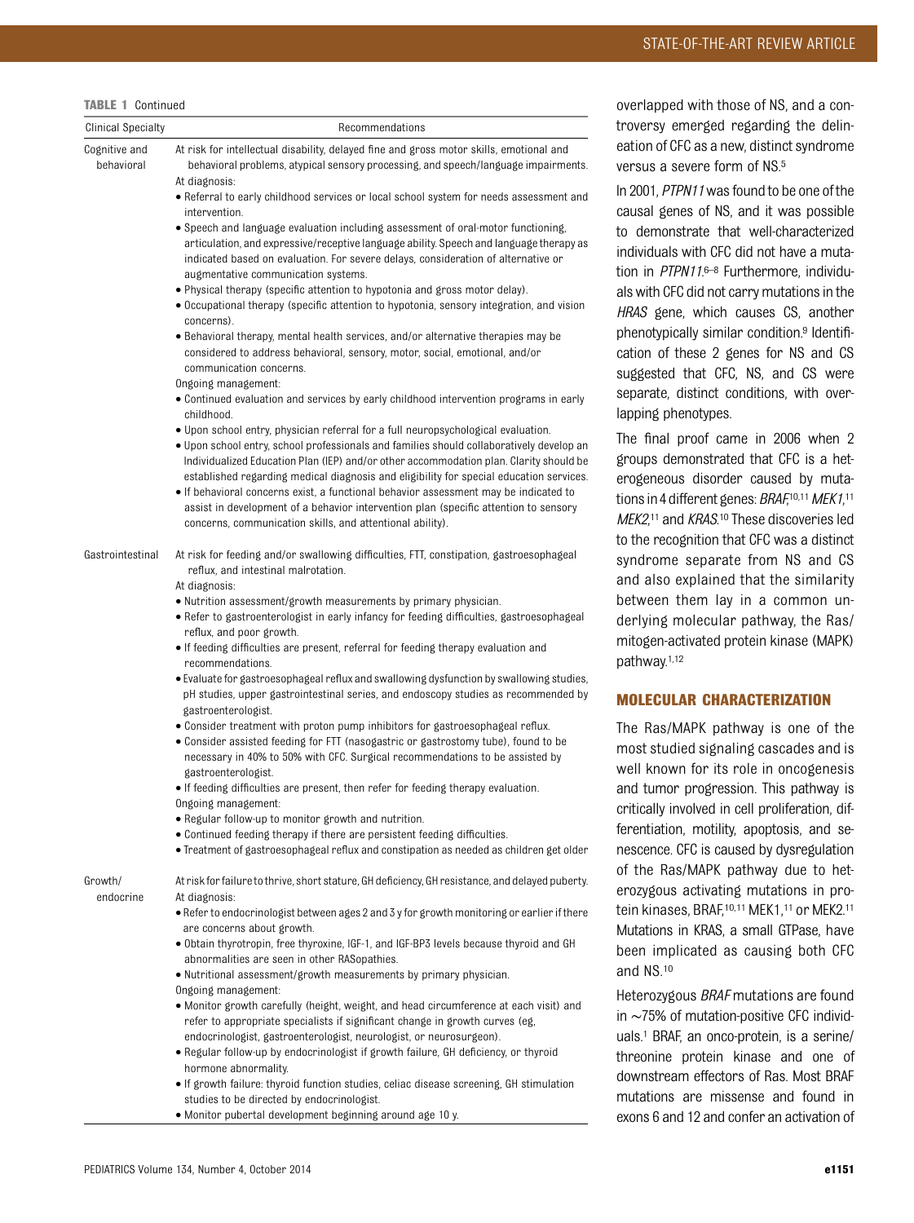| <b>Clinical Specialty</b>   | Recommendations                                                                                                                                                                                       |
|-----------------------------|-------------------------------------------------------------------------------------------------------------------------------------------------------------------------------------------------------|
| Cognitive and<br>behavioral | At risk for intellectual disability, delayed fine and gross motor skills, emotional and<br>behavioral problems, atypical sensory processing, and speech/language impairments.                         |
|                             | At diagnosis:<br>• Referral to early childhood services or local school system for needs assessment and                                                                                               |
|                             | intervention.<br>• Speech and language evaluation including assessment of oral-motor functioning,                                                                                                     |
|                             | articulation, and expressive/receptive language ability. Speech and language therapy as<br>indicated based on evaluation. For severe delays, consideration of alternative or                          |
|                             | augmentative communication systems.                                                                                                                                                                   |
|                             | • Physical therapy (specific attention to hypotonia and gross motor delay).<br>• Occupational therapy (specific attention to hypotonia, sensory integration, and vision                               |
|                             | concerns).<br>• Behavioral therapy, mental health services, and/or alternative therapies may be<br>considered to address behavioral, sensory, motor, social, emotional, and/or                        |
|                             | communication concerns.                                                                                                                                                                               |
|                             | Ongoing management:<br>• Continued evaluation and services by early childhood intervention programs in early<br>childhood.                                                                            |
|                             | • Upon school entry, physician referral for a full neuropsychological evaluation.                                                                                                                     |
|                             | • Upon school entry, school professionals and families should collaboratively develop an<br>Individualized Education Plan (IEP) and/or other accommodation plan. Clarity should be                    |
|                             | established regarding medical diagnosis and eligibility for special education services.<br>• If behavioral concerns exist, a functional behavior assessment may be indicated to                       |
|                             | assist in development of a behavior intervention plan (specific attention to sensory                                                                                                                  |
|                             | concerns, communication skills, and attentional ability).                                                                                                                                             |
| Gastrointestinal            | At risk for feeding and/or swallowing difficulties, FTT, constipation, gastroesophageal<br>reflux, and intestinal malrotation.                                                                        |
|                             | At diagnosis:                                                                                                                                                                                         |
|                             | • Nutrition assessment/growth measurements by primary physician.                                                                                                                                      |
|                             | · Refer to gastroenterologist in early infancy for feeding difficulties, gastroesophageal<br>reflux, and poor growth.                                                                                 |
|                             | • If feeding difficulties are present, referral for feeding therapy evaluation and<br>recommendations.                                                                                                |
|                             | • Evaluate for gastroesophageal reflux and swallowing dysfunction by swallowing studies,<br>pH studies, upper gastrointestinal series, and endoscopy studies as recommended by<br>gastroenterologist. |
|                             | • Consider treatment with proton pump inhibitors for gastroesophageal reflux.                                                                                                                         |
|                             | · Consider assisted feeding for FTT (nasogastric or gastrostomy tube), found to be<br>necessary in 40% to 50% with CFC. Surgical recommendations to be assisted by                                    |
|                             | gastroenterologist.<br>• If feeding difficulties are present, then refer for feeding therapy evaluation.                                                                                              |
|                             | Ongoing management:                                                                                                                                                                                   |
|                             | • Regular follow-up to monitor growth and nutrition.                                                                                                                                                  |
|                             | • Continued feeding therapy if there are persistent feeding difficulties.<br>· Treatment of gastroesophageal reflux and constipation as needed as children get older                                  |
|                             |                                                                                                                                                                                                       |
| Growth/<br>endocrine        | At risk for failure to thrive, short stature, GH deficiency, GH resistance, and delayed puberty.<br>At diagnosis:                                                                                     |
|                             | • Refer to endocrinologist between ages 2 and 3 y for growth monitoring or earlier if there<br>are concerns about growth.                                                                             |
|                             | • Obtain thyrotropin, free thyroxine, IGF-1, and IGF-BP3 levels because thyroid and GH<br>abnormalities are seen in other RASopathies.                                                                |
|                             | • Nutritional assessment/growth measurements by primary physician.                                                                                                                                    |
|                             | Ongoing management:                                                                                                                                                                                   |
|                             | • Monitor growth carefully (height, weight, and head circumference at each visit) and<br>refer to appropriate specialists if significant change in growth curves (eg,                                 |
|                             | endocrinologist, gastroenterologist, neurologist, or neurosurgeon).                                                                                                                                   |
|                             | • Regular follow-up by endocrinologist if growth failure, GH deficiency, or thyroid                                                                                                                   |
|                             | hormone abnormality.                                                                                                                                                                                  |

• If growth failure: thyroid function studies, celiac disease screening, GH stimulation studies to be directed by endocrinologist.

• Monitor pubertal development beginning around age 10 y.

lapped with those of NS, and a conersy emerged regarding the delinon of CFC as a new, distinct syndrome  $s$ us a severe form of NS. $5$ 

001, PTPN11 was found to be one of the sal genes of NS, and it was possible temonstrate that well-characterized viduals with CFC did not have a mutation in PTPN11.6-8 Furthermore, individuvith CFC did not carry mutations in the S gene, which causes CS, another notypically similar condition.<sup>9</sup> Identifion of these 2 genes for NS and CS gested that CFC, NS, and CS were arate, distinct conditions, with overing phenotypes.

final proof came in 2006 when 2 ups demonstrated that CFC is a heteneous disorder caused by mutations in 4 different genes: BRAF,<sup>10,11</sup> MEK1,<sup>11</sup> MEK2,<sup>11</sup> and KRAS.<sup>10</sup> These discoveries led ne recognition that CFC was a distinct drome separate from NS and CS also explained that the similarity ween them lay in a common unlying molecular pathway, the Ras/ gen-activated protein kinase (MAPK)  $i$ way.<sup>1,12</sup>

#### LECULAR CHARACTERIZATION

Ras/MAPK pathway is one of the t studied signaling cascades and is known for its role in oncogenesis tumor progression. This pathway is cally involved in cell proliferation, difntiation, motility, apoptosis, and secence. CFC is caused by dysregulation he Ras/MAPK pathway due to hetygous activating mutations in prokinases, BRAF, 10, 11 MEK1, 11 or MEK2.11 ations in KRAS, a small GTPase, have n implicated as causing both CFC NS.<sup>10</sup>

rozygous BRAF mutations are found in ∼75% of mutation-positive CFC individ-1 BRAF, an onco-protein, is a serine/ onine protein kinase and one of downstream effectors of Ras. Most BRAF mutations are missense and found in exons 6 and 12 and confer an activation of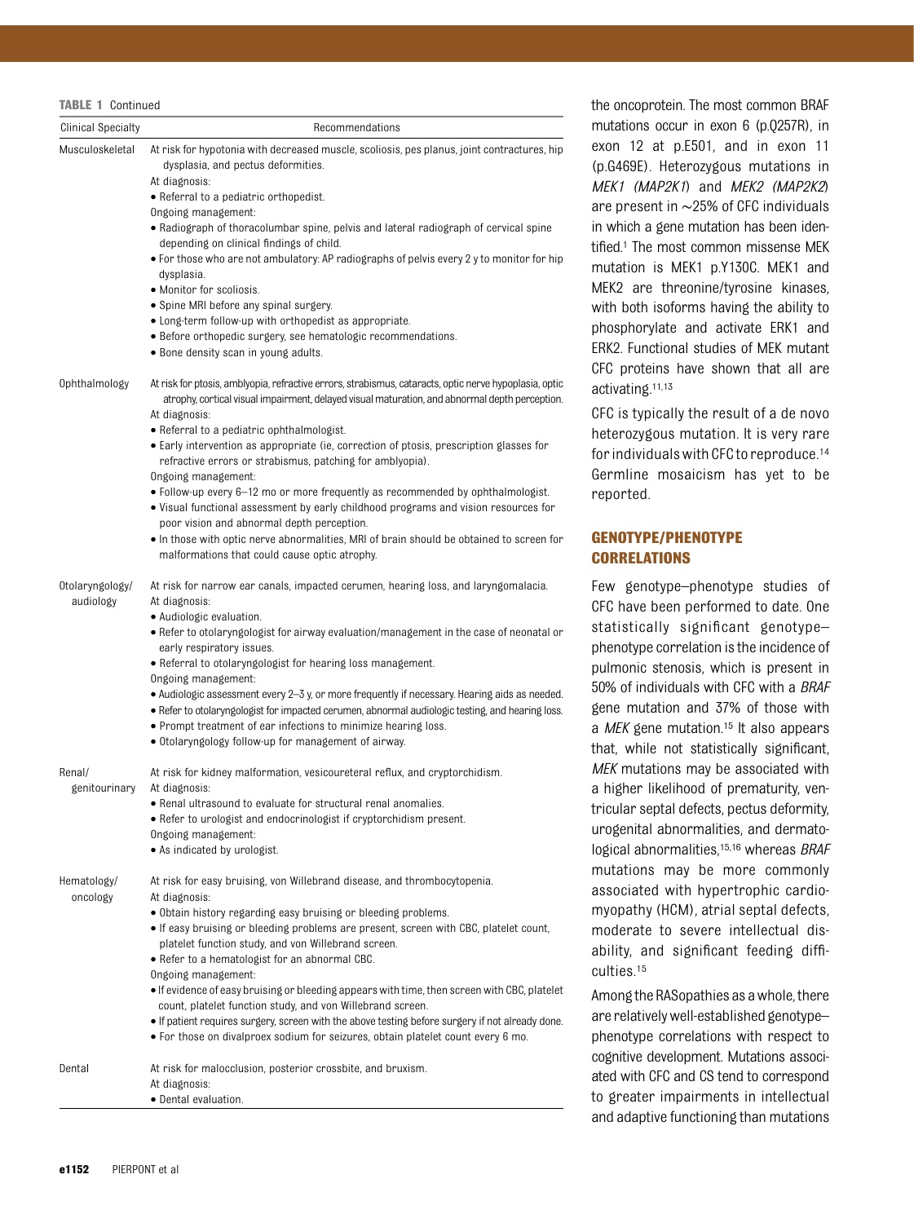| <b>Clinical Specialty</b> | Recommendations                                                                                        |
|---------------------------|--------------------------------------------------------------------------------------------------------|
| Musculoskeletal           | At risk for hypotonia with decreased muscle, scoliosis, pes planus, joint contractures, hip            |
|                           | dysplasia, and pectus deformities.                                                                     |
|                           | At diagnosis:<br>• Referral to a pediatric orthopedist.                                                |
|                           | Ongoing management:                                                                                    |
|                           | • Radiograph of thoracolumbar spine, pelvis and lateral radiograph of cervical spine                   |
|                           | depending on clinical findings of child.                                                               |
|                           | • For those who are not ambulatory: AP radiographs of pelvis every 2 y to monitor for hip              |
|                           | dysplasia.<br>• Monitor for scoliosis.                                                                 |
|                           | • Spine MRI before any spinal surgery.                                                                 |
|                           | • Long-term follow-up with orthopedist as appropriate.                                                 |
|                           | • Before orthopedic surgery, see hematologic recommendations.                                          |
|                           | • Bone density scan in young adults.                                                                   |
| Ophthalmology             | At risk for ptosis, amblyopia, refractive errors, strabismus, cataracts, optic nerve hypoplasia, optic |
|                           | atrophy, cortical visual impairment, delayed visual maturation, and abnormal depth perception.         |
|                           | At diagnosis:                                                                                          |
|                           | • Referral to a pediatric ophthalmologist.                                                             |
|                           | • Early intervention as appropriate (ie, correction of ptosis, prescription glasses for                |
|                           | refractive errors or strabismus, patching for amblyopia).<br>Ongoing management:                       |
|                           | • Follow-up every 6–12 mo or more frequently as recommended by ophthalmologist.                        |
|                           | • Visual functional assessment by early childhood programs and vision resources for                    |
|                           | poor vision and abnormal depth perception.                                                             |
|                           | • In those with optic nerve abnormalities, MRI of brain should be obtained to screen for               |
|                           | malformations that could cause optic atrophy.                                                          |
| Otolaryngology/           | At risk for narrow ear canals, impacted cerumen, hearing loss, and laryngomalacia.                     |
| audiology                 | At diagnosis:                                                                                          |
|                           | • Audiologic evaluation.                                                                               |
|                           | • Refer to otolaryngologist for airway evaluation/management in the case of neonatal or                |
|                           | early respiratory issues.<br>• Referral to otolaryngologist for hearing loss management.               |
|                           | Ongoing management:                                                                                    |
|                           | • Audiologic assessment every 2–3 y, or more frequently if necessary. Hearing aids as needed.          |
|                           | • Refer to otolaryngologist for impacted cerumen, abnormal audiologic testing, and hearing loss.       |
|                           | • Prompt treatment of ear infections to minimize hearing loss.                                         |
|                           | • Otolaryngology follow-up for management of airway.                                                   |
| Renal/                    | At risk for kidney malformation, vesicoureteral reflux, and cryptorchidism.                            |
| genitourinary             | At diagnosis:                                                                                          |
|                           | . Renal ultrasound to evaluate for structural renal anomalies.                                         |
|                           | • Refer to urologist and endocrinologist if cryptorchidism present.                                    |
|                           | Ongoing management:                                                                                    |
|                           | · As indicated by urologist.                                                                           |
| Hematology/               | At risk for easy bruising, von Willebrand disease, and thrombocytopenia.                               |
| oncology                  | At diagnosis:                                                                                          |
|                           | • Obtain history regarding easy bruising or bleeding problems.                                         |
|                           | • If easy bruising or bleeding problems are present, screen with CBC, platelet count,                  |
|                           | platelet function study, and von Willebrand screen.                                                    |
|                           | • Refer to a hematologist for an abnormal CBC.<br>Ongoing management:                                  |
|                           | • If evidence of easy bruising or bleeding appears with time, then screen with CBC, platelet           |
|                           | count, platelet function study, and von Willebrand screen.                                             |
|                           | • If patient requires surgery, screen with the above testing before surgery if not already done.       |
|                           | . For those on divalproex sodium for seizures, obtain platelet count every 6 mo.                       |
| Dental                    |                                                                                                        |
|                           | At risk for malocclusion, posterior crossbite, and bruxism.<br>At diagnosis:                           |
|                           | • Dental evaluation.                                                                                   |

e oncoprotein. The most common BRAF mutations occur in exon 6 (p.Q257R), in on  $12$  at  $p.E501$ , and in exon  $11$ (p.G469E). Heterozygous mutations in EK1 (MAP2K1) and MEK2 (MAP2K2) are present in ∼25% of CFC individuals which a gene mutation has been idenied.<sup>1</sup> The most common missense MEK mutation is MEK1 p.Y130C. MEK1 and EK2 are threonine/tyrosine kinases, ith both isoforms having the ability to osphorylate and activate ERK1 and K2. Functional studies of MEK mutant C proteins have shown that all are tivating.<sup>11,13</sup>

C is typically the result of a de novo terozygous mutation. It is very rare r individuals with CFC to reproduce.<sup>14</sup> ermline mosaicism has yet to be ported.

#### ENOTYPE/PHENOTYPE **DRRELATIONS**

w genotype–phenotype studies of C have been performed to date. One atistically significant genotypeenotype correlation is the incidence of pulmonic stenosis, which is present in % of individuals with CFC with a BRAF ene mutation and 37% of those with  $MEK$  gene mutation.<sup>15</sup> It also appears at, while not statistically significant, EK mutations may be associated with higher likelihood of prematurity, vencular septal defects, pectus deformity, ogenital abnormalities, and dermatogical abnormalities,<sup>15,16</sup> whereas BRAF utations may be more commonly sociated with hypertrophic cardioyopathy (HCM), atrial septal defects, oderate to severe intellectual disbility, and significant feeding diffi $lties.15$ 

nong the RASopathies as a whole, there e relatively well-established genotypeenotype correlations with respect to gnitive development. Mutations associed with CFC and CS tend to correspond greater impairments in intellectual and adaptive functioning than mutations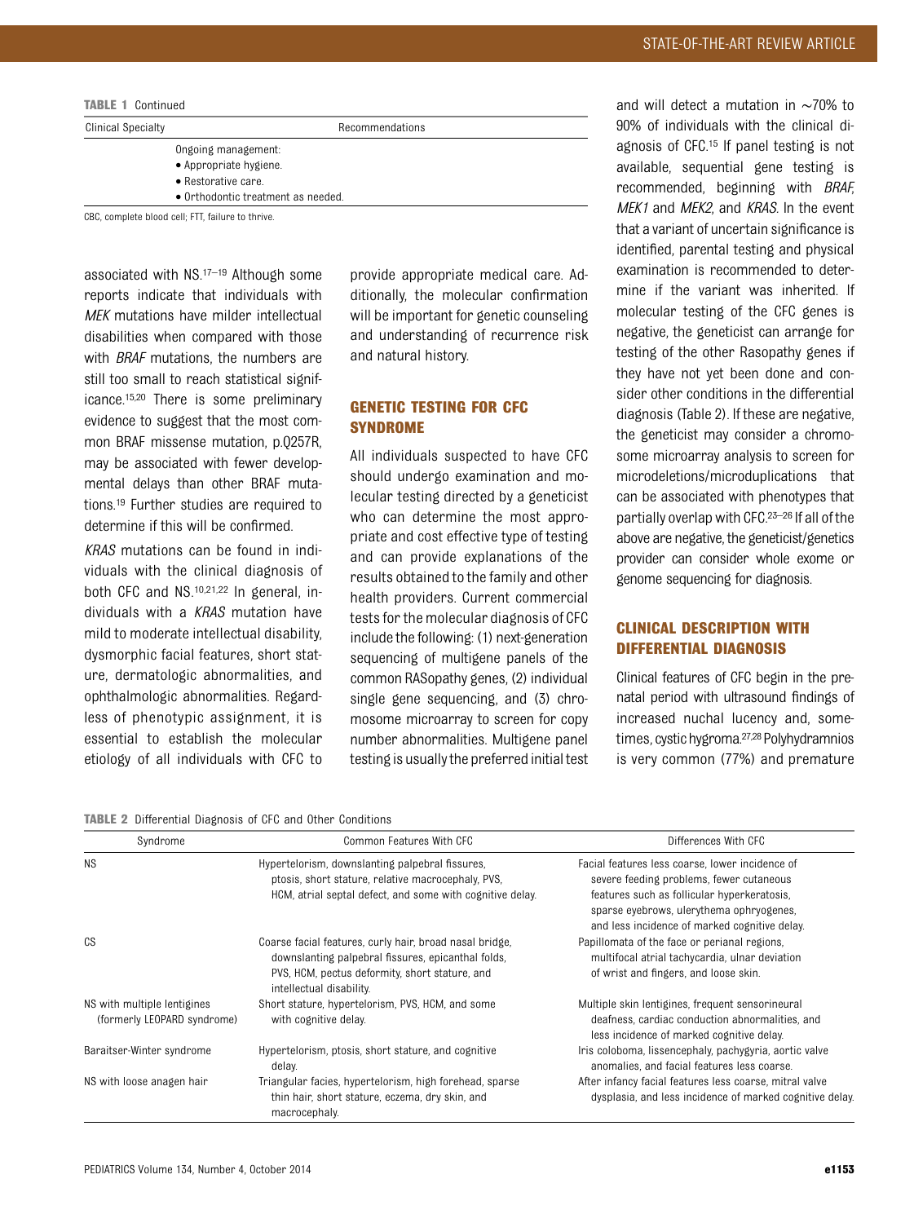| <b>TABLE 1 Continued</b>  |                                    |  |  |
|---------------------------|------------------------------------|--|--|
| <b>Clinical Specialty</b> | Recommendations                    |  |  |
|                           | Ongoing management:                |  |  |
|                           | • Appropriate hygiene.             |  |  |
|                           | $\bullet$ Restorative care.        |  |  |
|                           | • Orthodontic treatment as needed. |  |  |

CBC, complete blood cell; FTT, failure to thrive.

associated with NS.17–<sup>19</sup> Although some reports indicate that individuals with MEK mutations have milder intellectual disabilities when compared with those with **BRAF** mutations, the numbers are still too small to reach statistical significance.15,20 There is some preliminary evidence to suggest that the most common BRAF missense mutation, p.Q257R, may be associated with fewer developmental delays than other BRAF mutations.19 Further studies are required to determine if this will be confirmed.

KRAS mutations can be found in individuals with the clinical diagnosis of both CFC and NS.10,21,22 In general, individuals with a KRAS mutation have mild to moderate intellectual disability, dysmorphic facial features, short stature, dermatologic abnormalities, and ophthalmologic abnormalities. Regardless of phenotypic assignment, it is essential to establish the molecular etiology of all individuals with CFC to provide appropriate medical care. Additionally, the molecular confirmation will be important for genetic counseling and understanding of recurrence risk and natural history.

## GENETIC TESTING FOR CFC SYNDROME

All individuals suspected to have CFC should undergo examination and molecular testing directed by a geneticist who can determine the most appropriate and cost effective type of testing and can provide explanations of the results obtained to the family and other health providers. Current commercial tests for the molecular diagnosis of CFC include the following: (1) next-generation sequencing of multigene panels of the common RASopathy genes, (2) individual single gene sequencing, and (3) chromosome microarray to screen for copy number abnormalities. Multigene panel testing is usually the preferred initial test

and will detect a mutation in ∼70% to 90% of individuals with the clinical diagnosis of CFC.15 If panel testing is not available, sequential gene testing is recommended, beginning with BRAF, MEK1 and MEK2, and KRAS. In the event that a variant of uncertain significance is identified, parental testing and physical examination is recommended to determine if the variant was inherited. If molecular testing of the CFC genes is negative, the geneticist can arrange for testing of the other Rasopathy genes if they have not yet been done and consider other conditions in the differential diagnosis (Table 2). If these are negative, the geneticist may consider a chromosome microarray analysis to screen for microdeletions/microduplications that can be associated with phenotypes that partially overlap with CFC.23–<sup>26</sup> If all of the above are negative, the geneticist/genetics provider can consider whole exome or genome sequencing for diagnosis.

## CLINICAL DESCRIPTION WITH DIFFERENTIAL DIAGNOSIS

Clinical features of CFC begin in the prenatal period with ultrasound findings of increased nuchal lucency and, sometimes, cystic hygroma.<sup>27,28</sup> Polyhydramnios is very common (77%) and premature

TABLE 2 Differential Diagnosis of CFC and Other Conditions

| Syndrome                                                   | Common Features With CFC                                                                                                                                                                    | Differences With CFC                                                                                                                                                                                                                    |
|------------------------------------------------------------|---------------------------------------------------------------------------------------------------------------------------------------------------------------------------------------------|-----------------------------------------------------------------------------------------------------------------------------------------------------------------------------------------------------------------------------------------|
| <b>NS</b>                                                  | Hypertelorism, downslanting palpebral fissures,<br>ptosis, short stature, relative macrocephaly, PVS,<br>HCM, atrial septal defect, and some with cognitive delay.                          | Facial features less coarse, lower incidence of<br>severe feeding problems, fewer cutaneous<br>features such as follicular hyperkeratosis.<br>sparse eyebrows, ulerythema ophryogenes,<br>and less incidence of marked cognitive delay. |
| CS                                                         | Coarse facial features, curly hair, broad nasal bridge,<br>downslanting palpebral fissures, epicanthal folds,<br>PVS, HCM, pectus deformity, short stature, and<br>intellectual disability. | Papillomata of the face or perianal regions.<br>multifocal atrial tachycardia, ulnar deviation<br>of wrist and fingers, and loose skin.                                                                                                 |
| NS with multiple lentigines<br>(formerly LEOPARD syndrome) | Short stature, hypertelorism, PVS, HCM, and some<br>with cognitive delay.                                                                                                                   | Multiple skin lentigines, frequent sensorineural<br>deafness, cardiac conduction abnormalities, and<br>less incidence of marked cognitive delay.                                                                                        |
| Baraitser-Winter syndrome                                  | Hypertelorism, ptosis, short stature, and cognitive<br>delay.                                                                                                                               | Iris coloboma, lissencephaly, pachygyria, aortic valve<br>anomalies, and facial features less coarse.                                                                                                                                   |
| NS with loose anagen hair                                  | Triangular facies, hypertelorism, high forehead, sparse<br>thin hair, short stature, eczema, dry skin, and<br>macrocephaly.                                                                 | After infancy facial features less coarse, mitral valve<br>dysplasia, and less incidence of marked cognitive delay.                                                                                                                     |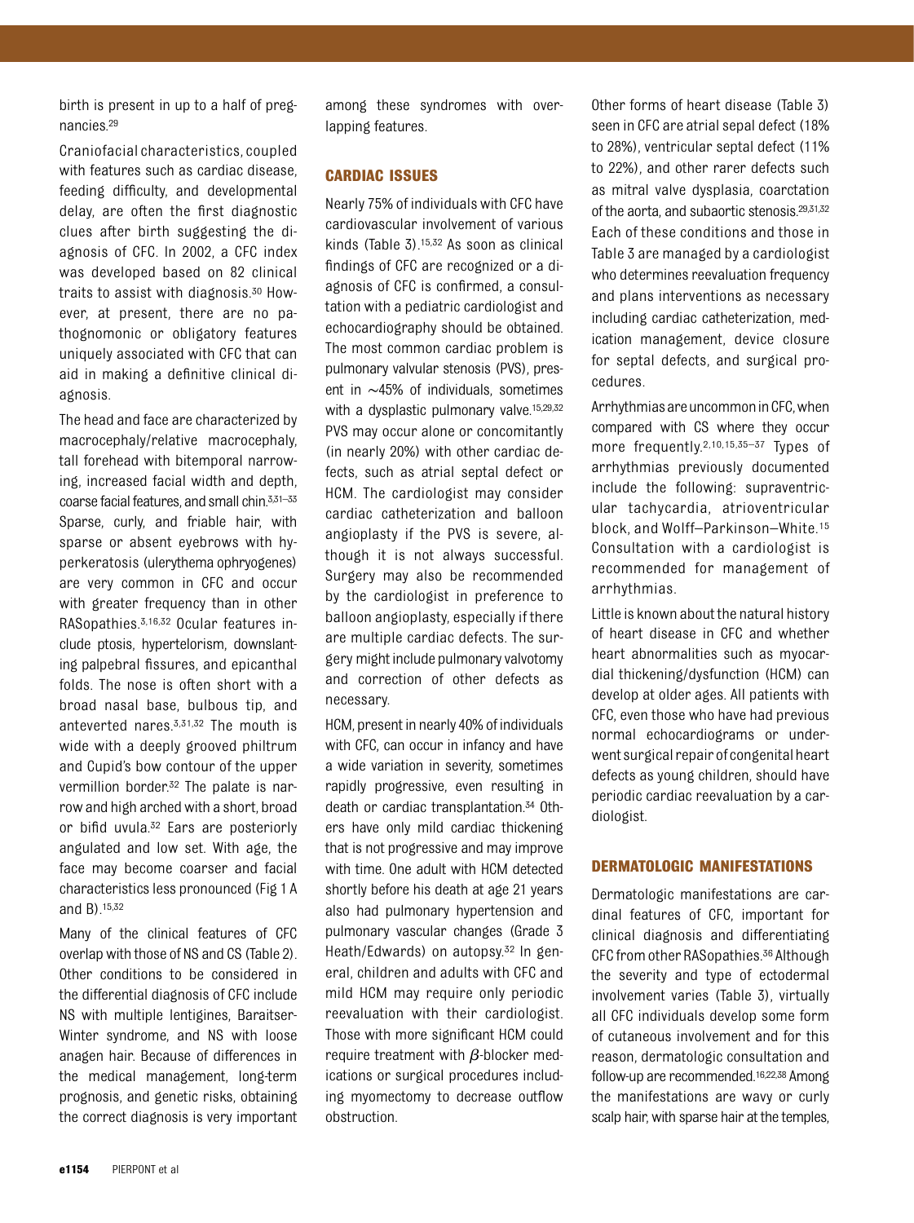birth is present in up to a half of pregnancies.29

Craniofacial characteristics, coupled with features such as cardiac disease, feeding difficulty, and developmental delay, are often the first diagnostic clues after birth suggesting the diagnosis of CFC. In 2002, a CFC index was developed based on 82 clinical traits to assist with diagnosis.30 However, at present, there are no pathognomonic or obligatory features uniquely associated with CFC that can aid in making a definitive clinical diagnosis.

The head and face are characterized by macrocephaly/relative macrocephaly, tall forehead with bitemporal narrowing, increased facial width and depth, coarse facial features, and small chin.<sup>3,31–33</sup> Sparse, curly, and friable hair, with sparse or absent eyebrows with hyperkeratosis (ulerythema ophryogenes) are very common in CFC and occur with greater frequency than in other RASopathies.3,16,32 Ocular features include ptosis, hypertelorism, downslanting palpebral fissures, and epicanthal folds. The nose is often short with a broad nasal base, bulbous tip, and anteverted nares.3,31,32 The mouth is wide with a deeply grooved philtrum and Cupid's bow contour of the upper vermillion border.32 The palate is narrow and high arched with a short, broad or bifid uvula.32 Ears are posteriorly angulated and low set. With age, the face may become coarser and facial characteristics less pronounced (Fig 1 A and B).15,32

Many of the clinical features of CFC overlap with those of NS and CS (Table 2). Other conditions to be considered in the differential diagnosis of CFC include NS with multiple lentigines, Baraitser-Winter syndrome, and NS with loose anagen hair. Because of differences in the medical management, long-term prognosis, and genetic risks, obtaining the correct diagnosis is very important

among these syndromes with overlapping features.

#### CARDIAC ISSUES

Nearly 75% of individuals with CFC have cardiovascular involvement of various kinds (Table 3).15,32 As soon as clinical findings of CFC are recognized or a diagnosis of CFC is confirmed, a consultation with a pediatric cardiologist and echocardiography should be obtained. The most common cardiac problem is pulmonary valvular stenosis (PVS), present in ∼45% of individuals, sometimes with a dysplastic pulmonary valve.<sup>15,29,32</sup> PVS may occur alone or concomitantly (in nearly 20%) with other cardiac defects, such as atrial septal defect or HCM. The cardiologist may consider cardiac catheterization and balloon angioplasty if the PVS is severe, although it is not always successful. Surgery may also be recommended by the cardiologist in preference to balloon angioplasty, especially if there are multiple cardiac defects. The surgery might include pulmonary valvotomy and correction of other defects as necessary.

HCM, present in nearly 40% of individuals with CFC, can occur in infancy and have a wide variation in severity, sometimes rapidly progressive, even resulting in death or cardiac transplantation.34 Others have only mild cardiac thickening that is not progressive and may improve with time. One adult with HCM detected shortly before his death at age 21 years also had pulmonary hypertension and pulmonary vascular changes (Grade 3 Heath/Edwards) on autopsy.32 In general, children and adults with CFC and mild HCM may require only periodic reevaluation with their cardiologist. Those with more significant HCM could require treatment with  $\beta$ -blocker medications or surgical procedures including myomectomy to decrease outflow obstruction.

Other forms of heart disease (Table 3) seen in CFC are atrial sepal defect (18% to 28%), ventricular septal defect (11% to 22%), and other rarer defects such as mitral valve dysplasia, coarctation of the aorta, and subaortic stenosis.29,31,32 Each of these conditions and those in Table 3 are managed by a cardiologist who determines reevaluation frequency and plans interventions as necessary including cardiac catheterization, medication management, device closure for septal defects, and surgical procedures.

Arrhythmias are uncommon in CFC, when compared with CS where they occur more frequently.<sup>2,10,15,35-37</sup> Types of arrhythmias previously documented include the following: supraventricular tachycardia, atrioventricular block, and Wolff–Parkinson–White.15 Consultation with a cardiologist is recommended for management of arrhythmias.

Little is known about the natural history of heart disease in CFC and whether heart abnormalities such as myocardial thickening/dysfunction (HCM) can develop at older ages. All patients with CFC, even those who have had previous normal echocardiograms or underwent surgical repair of congenital heart defects as young children, should have periodic cardiac reevaluation by a cardiologist.

#### DERMATOLOGIC MANIFESTATIONS

Dermatologic manifestations are cardinal features of CFC, important for clinical diagnosis and differentiating CFC from other RASopathies.<sup>36</sup> Although the severity and type of ectodermal involvement varies (Table 3), virtually all CFC individuals develop some form of cutaneous involvement and for this reason, dermatologic consultation and follow-up are recommended.16,22,38 Among the manifestations are wavy or curly scalp hair, with sparse hair at the temples,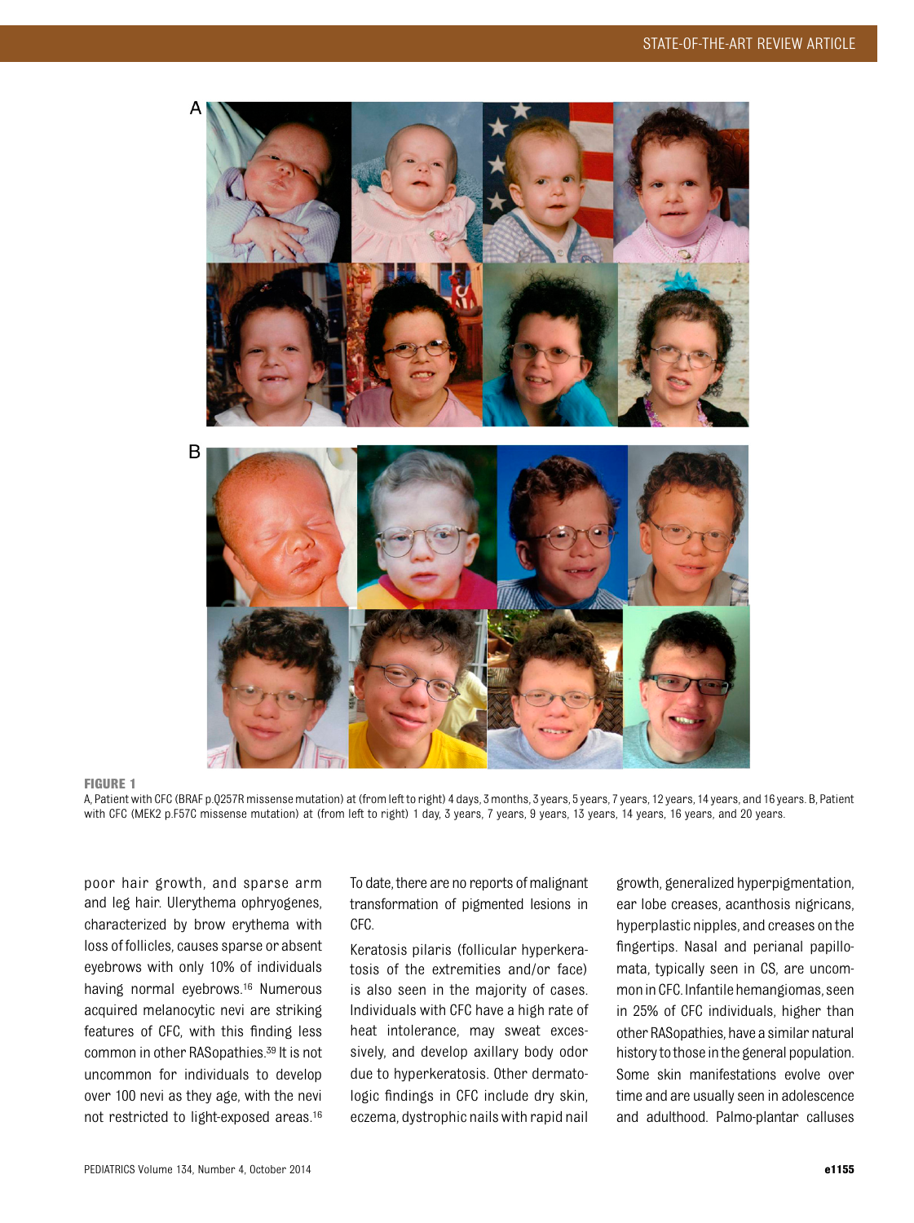

#### FIGURE 1

A, Patient with CFC (BRAF p.Q257R missense mutation) at (from left to right) 4 days, 3 months, 3 years, 5 years, 7 years, 12 years, 14 years, and 16 years. B, Patient with CFC (MEK2 p.F57C missense mutation) at (from left to right) 1 day, 3 years, 7 years, 9 years, 13 years, 14 years, 16 years, and 20 years.

poor hair growth, and sparse arm and leg hair. Ulerythema ophryogenes, characterized by brow erythema with loss of follicles, causes sparse or absent eyebrows with only 10% of individuals having normal eyebrows.16 Numerous acquired melanocytic nevi are striking features of CFC, with this finding less common in other RASopathies.39 It is not uncommon for individuals to develop over 100 nevi as they age, with the nevi not restricted to light-exposed areas.16 To date, there are no reports of malignant transformation of pigmented lesions in CFC.

Keratosis pilaris (follicular hyperkeratosis of the extremities and/or face) is also seen in the majority of cases. Individuals with CFC have a high rate of heat intolerance, may sweat excessively, and develop axillary body odor due to hyperkeratosis. Other dermatologic findings in CFC include dry skin, eczema, dystrophic nails with rapid nail

growth, generalized hyperpigmentation, ear lobe creases, acanthosis nigricans, hyperplastic nipples, and creases on the fingertips. Nasal and perianal papillomata, typically seen in CS, are uncommoninCFC. Infantilehemangiomas, seen in 25% of CFC individuals, higher than other RASopathies, have a similar natural history to those in the general population. Some skin manifestations evolve over time and are usually seen in adolescence and adulthood. Palmo-plantar calluses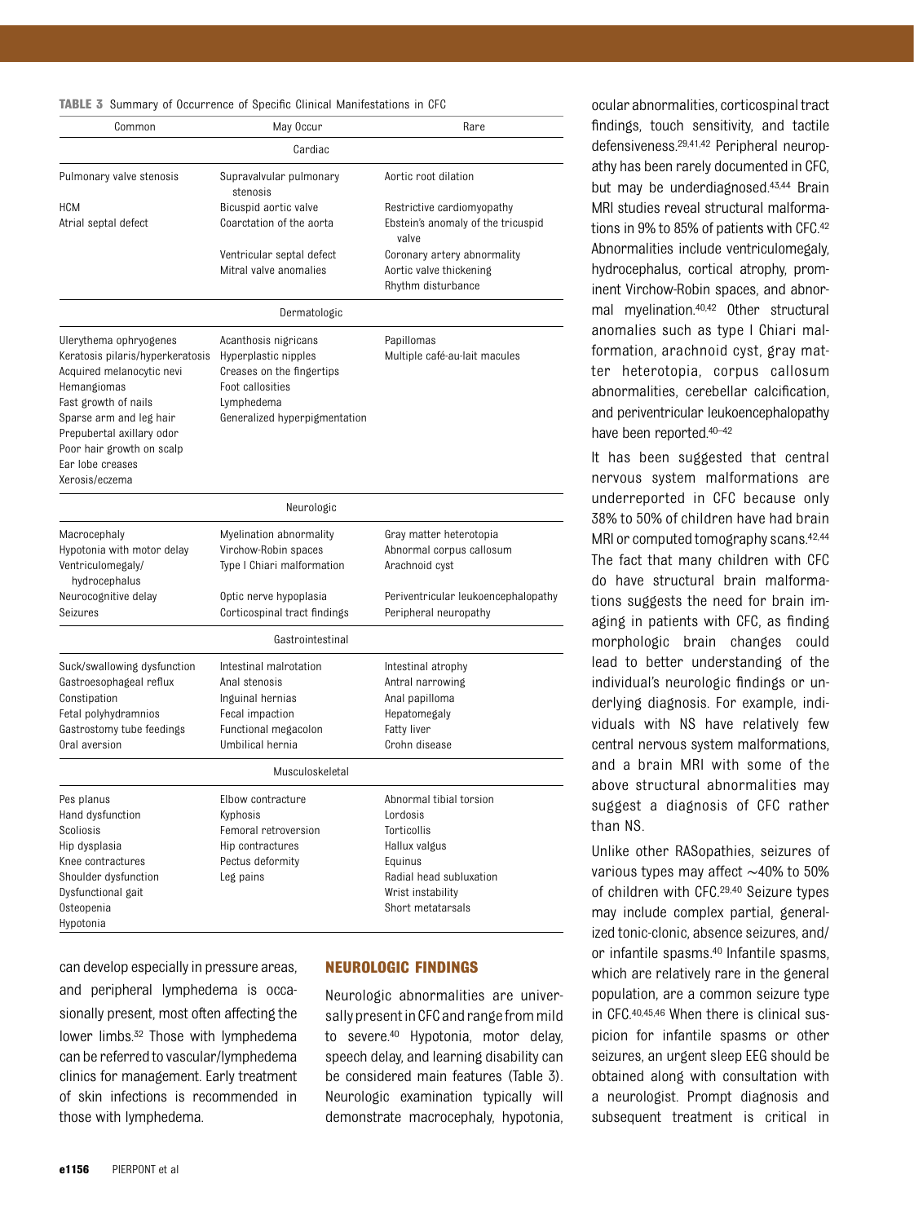|  |  |  |  |  | <b>TABLE 3</b> Summary of Occurrence of Specific Clinical Manifestations in CFC |  |
|--|--|--|--|--|---------------------------------------------------------------------------------|--|
|--|--|--|--|--|---------------------------------------------------------------------------------|--|

| Common                                                                                                                                                                                                                                                    | May Occur                                                                                                                                    | Rare                                                                                                                                                |
|-----------------------------------------------------------------------------------------------------------------------------------------------------------------------------------------------------------------------------------------------------------|----------------------------------------------------------------------------------------------------------------------------------------------|-----------------------------------------------------------------------------------------------------------------------------------------------------|
|                                                                                                                                                                                                                                                           | Cardiac                                                                                                                                      |                                                                                                                                                     |
| Pulmonary valve stenosis                                                                                                                                                                                                                                  | Supravalvular pulmonary<br>stenosis                                                                                                          | Aortic root dilation                                                                                                                                |
| <b>HCM</b><br>Atrial septal defect                                                                                                                                                                                                                        | Bicuspid aortic valve<br>Coarctation of the aorta                                                                                            | Restrictive cardiomyopathy<br>Ebstein's anomaly of the tricuspid<br>valve                                                                           |
|                                                                                                                                                                                                                                                           | Ventricular septal defect<br>Mitral valve anomalies                                                                                          | Coronary artery abnormality<br>Aortic valve thickening<br>Rhythm disturbance                                                                        |
|                                                                                                                                                                                                                                                           | Dermatologic                                                                                                                                 |                                                                                                                                                     |
| Ulerythema ophryogenes<br>Keratosis pilaris/hyperkeratosis<br>Acquired melanocytic nevi<br>Hemangiomas<br>Fast growth of nails<br>Sparse arm and leg hair<br>Prepubertal axillary odor<br>Poor hair growth on scalp<br>Ear lobe creases<br>Xerosis/eczema | Acanthosis nigricans<br>Hyperplastic nipples<br>Creases on the fingertips<br>Foot callosities<br>Lymphedema<br>Generalized hyperpigmentation | Papillomas<br>Multiple café-au-lait macules                                                                                                         |
|                                                                                                                                                                                                                                                           | Neurologic                                                                                                                                   |                                                                                                                                                     |
| Macrocephaly<br>Hypotonia with motor delay<br>Ventriculomegaly/<br>hydrocephalus                                                                                                                                                                          | Myelination abnormality<br>Virchow-Robin spaces<br>Type I Chiari malformation                                                                | Gray matter heterotopia<br>Abnormal corpus callosum<br>Arachnoid cyst                                                                               |
| Neurocognitive delay<br>Seizures                                                                                                                                                                                                                          | Optic nerve hypoplasia<br>Corticospinal tract findings                                                                                       | Periventricular leukoencephalopathy<br>Peripheral neuropathy                                                                                        |
|                                                                                                                                                                                                                                                           | Gastrointestinal                                                                                                                             |                                                                                                                                                     |
| Suck/swallowing dysfunction<br>Gastroesophageal reflux<br>Constipation<br>Fetal polyhydramnios<br>Gastrostomy tube feedings<br>Oral aversion                                                                                                              | Intestinal malrotation<br>Anal stenosis<br>Inguinal hernias<br>Fecal impaction<br>Functional megacolon<br>Umbilical hernia                   | Intestinal atrophy<br>Antral narrowing<br>Anal papilloma<br>Hepatomegaly<br>Fatty liver<br>Crohn disease                                            |
|                                                                                                                                                                                                                                                           | Musculoskeletal                                                                                                                              |                                                                                                                                                     |
| Pes planus<br>Hand dysfunction<br>Scoliosis<br>Hip dysplasia<br>Knee contractures<br>Shoulder dysfunction<br>Dysfunctional gait<br>Osteopenia<br>Hypotonia                                                                                                | Elbow contracture<br>Kyphosis<br>Femoral retroversion<br>Hip contractures<br>Pectus deformity<br>Leg pains                                   | Abnormal tibial torsion<br>Lordosis<br>Torticollis<br>Hallux valgus<br>Equinus<br>Radial head subluxation<br>Wrist instability<br>Short metatarsals |

can develop especially in pressure areas, and peripheral lymphedema is occasionally present, most often affecting the lower limbs.<sup>32</sup> Those with lymphedema can be referred to vascular/lymphedema clinics for management. Early treatment of skin infections is recommended in those with lymphedema.

#### NEUROLOGIC FINDINGS

Neurologic abnormalities are universally present in CFC and range from mild to severe.40 Hypotonia, motor delay, speech delay, and learning disability can be considered main features (Table 3). Neurologic examination typically will demonstrate macrocephaly, hypotonia,

ocular abnormalities, corticospinal tract findings, touch sensitivity, and tactile defensiveness.29,41,42 Peripheral neuropathy has been rarely documented in CFC, but may be underdiagnosed.43,44 Brain MRI studies reveal structural malformations in 9% to 85% of patients with CFC.42 Abnormalities include ventriculomegaly, hydrocephalus, cortical atrophy, prominent Virchow-Robin spaces, and abnormal myelination.40,42 Other structural anomalies such as type I Chiari malformation, arachnoid cyst, gray matter heterotopia, corpus callosum abnormalities, cerebellar calcification, and periventricular leukoencephalopathy have been reported.40–<sup>42</sup>

It has been suggested that central nervous system malformations are underreported in CFC because only 38% to 50% of children have had brain MRI or computed tomography scans.<sup>42,44</sup> The fact that many children with CFC do have structural brain malformations suggests the need for brain imaging in patients with CFC, as finding morphologic brain changes could lead to better understanding of the individual's neurologic findings or underlying diagnosis. For example, individuals with NS have relatively few central nervous system malformations, and a brain MRI with some of the above structural abnormalities may suggest a diagnosis of CFC rather than NS.

Unlike other RASopathies, seizures of various types may affect ∼40% to 50% of children with CFC.29,40 Seizure types may include complex partial, generalized tonic-clonic, absence seizures, and/ or infantile spasms.40 Infantile spasms, which are relatively rare in the general population, are a common seizure type in CFC.40,45,46 When there is clinical suspicion for infantile spasms or other seizures, an urgent sleep EEG should be obtained along with consultation with a neurologist. Prompt diagnosis and subsequent treatment is critical in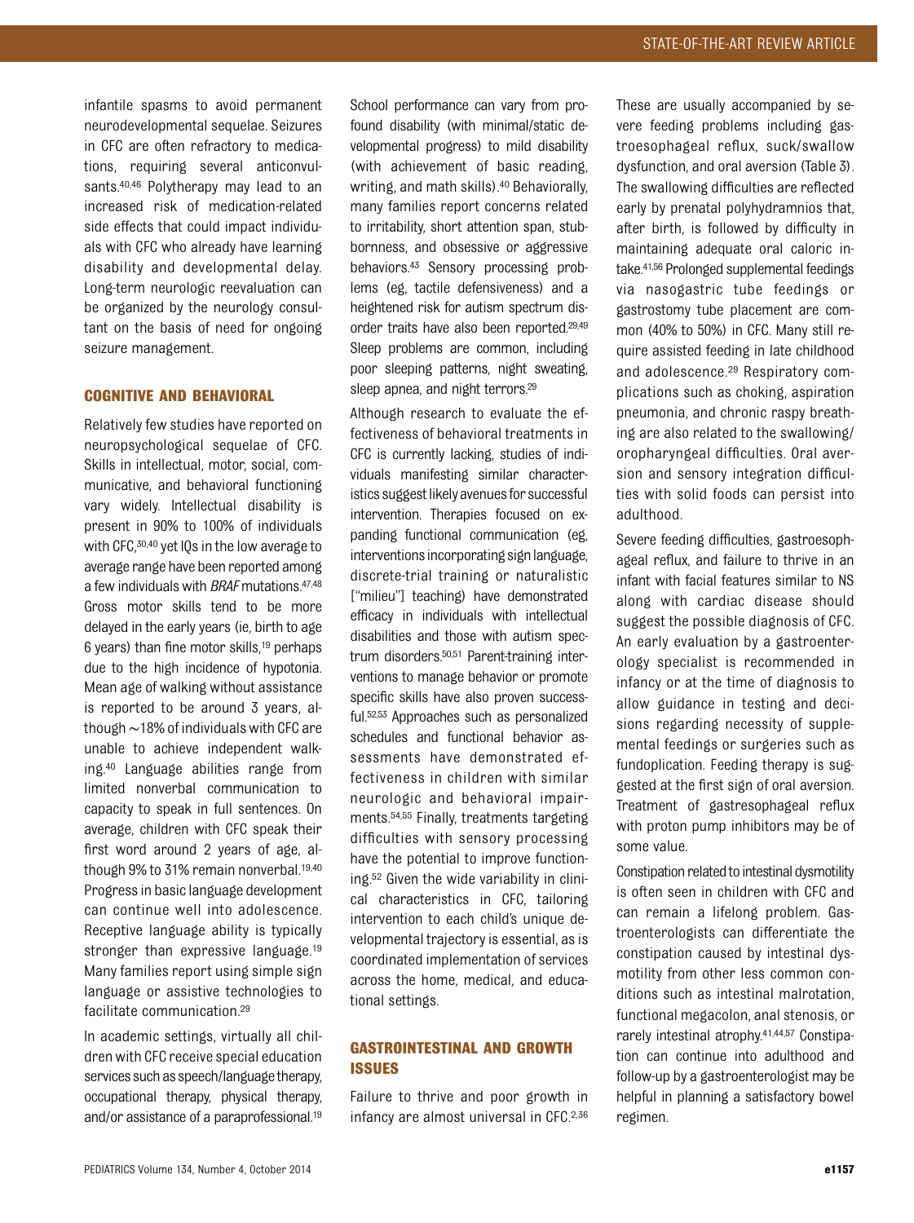infantile spasms to avoid permanent neurodevelopmental sequelae. Seizures in CFC are often refractory to medications, requiring several anticonvulsants.<sup>40,46</sup> Polytherapy may lead to an increased risk of medication-related side effects that could impact individuals with CFC who already have learning disability and developmental delay. Long-term neurologic reevaluation can be organized by the neurology consultant on the basis of need for ongoing seizure management.

#### COGNITIVE AND BEHAVIORAL

Relatively few studies have reported on neuropsychological sequelae of CFC. Skills in intellectual, motor, social, communicative, and behavioral functioning vary widely. Intellectual disability is present in 90% to 100% of individuals with CFC, 30,40 yet IQs in the low average to average range have been reported among a few individuals with BRAF mutations.47,48 Gross motor skills tend to be more delayed in the early years (ie, birth to age 6 years) than fine motor skills,19 perhaps due to the high incidence of hypotonia. Mean age of walking without assistance is reported to be around 3 years, although∼18% of individuals with CFC are unable to achieve independent walking.40 Language abilities range from limited nonverbal communication to capacity to speak in full sentences. On average, children with CFC speak their first word around 2 years of age, although 9% to 31% remain nonverbal.<sup>19,40</sup> Progress in basic language development can continue well into adolescence. Receptive language ability is typically stronger than expressive language.<sup>19</sup> Many families report using simple sign language or assistive technologies to facilitate communication.29

In academic settings, virtually all children with CFC receive special education services such as speech/language therapy, occupational therapy, physical therapy, and/or assistance of a paraprofessional.19

School performance can vary from profound disability (with minimal/static developmental progress) to mild disability (with achievement of basic reading, writing, and math skills).<sup>40</sup> Behaviorally, many families report concerns related to irritability, short attention span, stubbornness, and obsessive or aggressive behaviors.43 Sensory processing problems (eg, tactile defensiveness) and a heightened risk for autism spectrum disorder traits have also been reported.29,49 Sleep problems are common, including poor sleeping patterns, night sweating, sleep apnea, and night terrors.<sup>29</sup>

Although research to evaluate the effectiveness of behavioral treatments in CFC is currently lacking, studies of individuals manifesting similar characteristics suggest likely avenues for successful intervention. Therapies focused on expanding functional communication (eg, interventions incorporating sign language, discrete-trial training or naturalistic ["milieu"] teaching) have demonstrated efficacy in individuals with intellectual disabilities and those with autism spectrum disorders.50,51 Parent-training interventions to manage behavior or promote specific skills have also proven successful.52,53 Approaches such as personalized schedules and functional behavior assessments have demonstrated effectiveness in children with similar neurologic and behavioral impairments.54,55 Finally, treatments targeting difficulties with sensory processing have the potential to improve functioning.52 Given the wide variability in clinical characteristics in CFC, tailoring intervention to each child's unique developmental trajectory is essential, as is coordinated implementation of services across the home, medical, and educational settings.

#### GASTROINTESTINAL AND GROWTH ISSUES

Failure to thrive and poor growth in infancy are almost universal in CFC.2,36

These are usually accompanied by severe feeding problems including gastroesophageal reflux, suck/swallow dysfunction, and oral aversion (Table 3). The swallowing difficulties are reflected early by prenatal polyhydramnios that, after birth, is followed by difficulty in maintaining adequate oral caloric intake.41,56 Prolonged supplemental feedings via nasogastric tube feedings or gastrostomy tube placement are common (40% to 50%) in CFC. Many still require assisted feeding in late childhood and adolescence.29 Respiratory complications such as choking, aspiration pneumonia, and chronic raspy breathing are also related to the swallowing/ oropharyngeal difficulties. Oral aversion and sensory integration difficulties with solid foods can persist into adulthood.

Severe feeding difficulties, gastroesophageal reflux, and failure to thrive in an infant with facial features similar to NS along with cardiac disease should suggest the possible diagnosis of CFC. An early evaluation by a gastroenterology specialist is recommended in infancy or at the time of diagnosis to allow guidance in testing and decisions regarding necessity of supplemental feedings or surgeries such as fundoplication. Feeding therapy is suggested at the first sign of oral aversion. Treatment of gastresophageal reflux with proton pump inhibitors may be of some value.

Constipation related to intestinal dysmotility is often seen in children with CFC and can remain a lifelong problem. Gastroenterologists can differentiate the constipation caused by intestinal dysmotility from other less common conditions such as intestinal malrotation, functional megacolon, anal stenosis, or rarely intestinal atrophy.41,44,57 Constipation can continue into adulthood and follow-up by a gastroenterologist may be helpful in planning a satisfactory bowel regimen.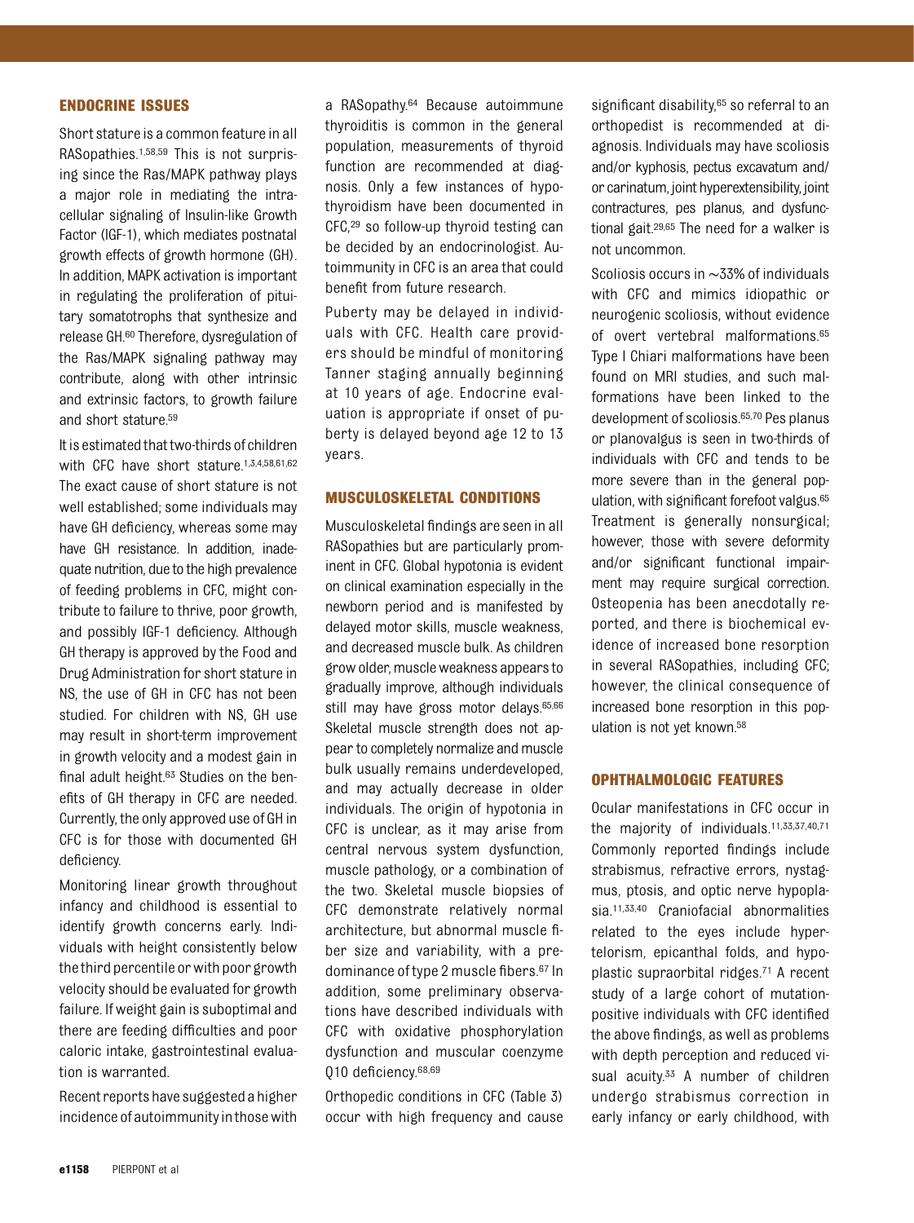#### ENDOCRINE ISSUES

Short stature is a common feature in all RASopathies.1,58,59 This is not surprising since the Ras/MAPK pathway plays a major role in mediating the intracellular signaling of Insulin-like Growth Factor (IGF-1), which mediates postnatal growth effects of growth hormone (GH). In addition, MAPK activation is important in regulating the proliferation of pituitary somatotrophs that synthesize and release GH.60 Therefore, dysregulation of the Ras/MAPK signaling pathway may contribute, along with other intrinsic and extrinsic factors, to growth failure and short stature.59

It is estimated that two-thirds of children with CFC have short stature.<sup>1,3,4,58,61,62</sup> The exact cause of short stature is not well established; some individuals may have GH deficiency, whereas some may have GH resistance. In addition, inadequate nutrition, due to the high prevalence of feeding problems in CFC, might contribute to failure to thrive, poor growth, and possibly IGF-1 deficiency. Although GH therapy is approved by the Food and Drug Administration for short stature in NS, the use of GH in CFC has not been studied. For children with NS, GH use may result in short-term improvement in growth velocity and a modest gain in final adult height.63 Studies on the benefits of GH therapy in CFC are needed. Currently, the only approved use of GH in CFC is for those with documented GH deficiency.

Monitoring linear growth throughout infancy and childhood is essential to identify growth concerns early. Individuals with height consistently below thethird percentile or with poor growth velocity should be evaluated for growth failure. If weight gain is suboptimal and there are feeding difficulties and poor caloric intake, gastrointestinal evaluation is warranted.

Recent reports have suggested a higher incidence of autoimmunity inthose with a RASopathy.64 Because autoimmune thyroiditis is common in the general population, measurements of thyroid function are recommended at diagnosis. Only a few instances of hypothyroidism have been documented in CFC,29 so follow-up thyroid testing can be decided by an endocrinologist. Autoimmunity in CFC is an area that could benefit from future research.

Puberty may be delayed in individuals with CFC. Health care providers should be mindful of monitoring Tanner staging annually beginning at 10 years of age. Endocrine evaluation is appropriate if onset of puberty is delayed beyond age 12 to 13 years.

#### MUSCULOSKELETAL CONDITIONS

Musculoskeletal findings are seen in all RASopathies but are particularly prominent in CFC. Global hypotonia is evident on clinical examination especially in the newborn period and is manifested by delayed motor skills, muscle weakness, and decreased muscle bulk. As children grow older, muscle weakness appearsto gradually improve, although individuals still may have gross motor delays.<sup>65,66</sup> Skeletal muscle strength does not appear to completely normalize and muscle bulk usually remains underdeveloped, and may actually decrease in older individuals. The origin of hypotonia in CFC is unclear, as it may arise from central nervous system dysfunction, muscle pathology, or a combination of the two. Skeletal muscle biopsies of CFC demonstrate relatively normal architecture, but abnormal muscle fiber size and variability, with a predominance of type 2 muscle fibers.67 In addition, some preliminary observations have described individuals with CFC with oxidative phosphorylation dysfunction and muscular coenzyme Q10 deficiency.68,69

Orthopedic conditions in CFC (Table 3) occur with high frequency and cause significant disability,<sup>65</sup> so referral to an orthopedist is recommended at diagnosis. Individuals may have scoliosis and/or kyphosis, pectus excavatum and/ or carinatum, joint hyperextensibility, joint contractures, pes planus, and dysfunctional gait.29,65 The need for a walker is not uncommon.

Scoliosis occurs in ∼33% of individuals with CFC and mimics idiopathic or neurogenic scoliosis, without evidence of overt vertebral malformations.65 Type I Chiari malformations have been found on MRI studies, and such malformations have been linked to the development of scoliosis.65,70 Pes planus or planovalgus is seen in two-thirds of individuals with CFC and tends to be more severe than in the general population, with significant forefoot valgus.65 Treatment is generally nonsurgical; however, those with severe deformity and/or significant functional impairment may require surgical correction. Osteopenia has been anecdotally reported, and there is biochemical evidence of increased bone resorption in several RASopathies, including CFC; however, the clinical consequence of increased bone resorption in this population is not yet known.58

#### OPHTHALMOLOGIC FEATURES

Ocular manifestations in CFC occur in the majority of individuals.11,33,37,40,71 Commonly reported findings include strabismus, refractive errors, nystagmus, ptosis, and optic nerve hypoplasia.11,33,40 Craniofacial abnormalities related to the eyes include hypertelorism, epicanthal folds, and hypoplastic supraorbital ridges.71 A recent study of a large cohort of mutationpositive individuals with CFC identified the above findings, as well as problems with depth perception and reduced visual acuity.<sup>33</sup> A number of children undergo strabismus correction in early infancy or early childhood, with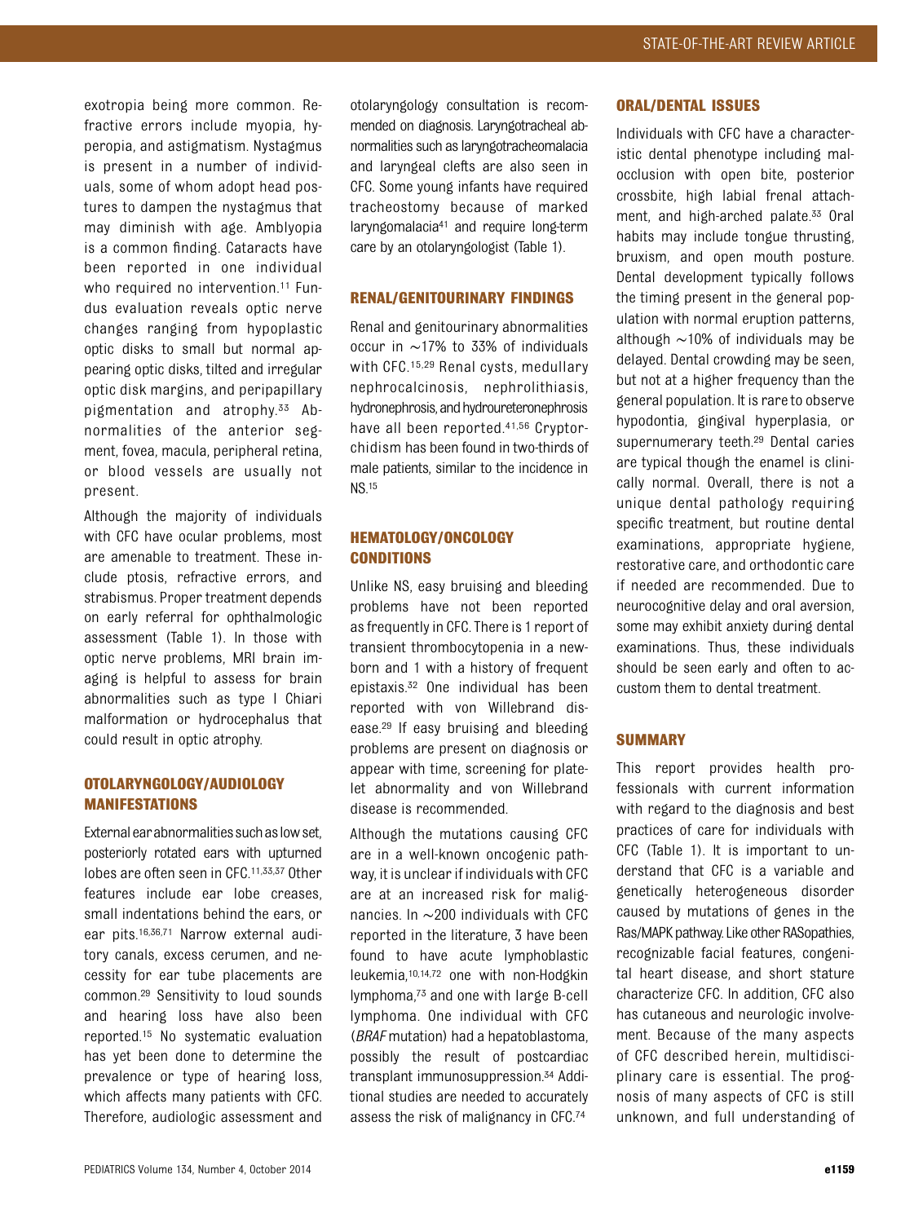exotropia being more common. Refractive errors include myopia, hyperopia, and astigmatism. Nystagmus is present in a number of individuals, some of whom adopt head postures to dampen the nystagmus that may diminish with age. Amblyopia is a common finding. Cataracts have been reported in one individual who required no intervention.<sup>11</sup> Fundus evaluation reveals optic nerve changes ranging from hypoplastic optic disks to small but normal appearing optic disks, tilted and irregular optic disk margins, and peripapillary pigmentation and atrophy.33 Abnormalities of the anterior segment, fovea, macula, peripheral retina, or blood vessels are usually not present.

Although the majority of individuals with CFC have ocular problems, most are amenable to treatment. These include ptosis, refractive errors, and strabismus. Proper treatment depends on early referral for ophthalmologic assessment (Table 1). In those with optic nerve problems, MRI brain imaging is helpful to assess for brain abnormalities such as type I Chiari malformation or hydrocephalus that could result in optic atrophy.

## OTOLARYNGOLOGY/AUDIOLOGY MANIFESTATIONS

External ear abnormalities such as low set, posteriorly rotated ears with upturned lobes are often seen in CFC.<sup>11,33,37</sup> Other features include ear lobe creases, small indentations behind the ears, or ear pits.16,36,71 Narrow external auditory canals, excess cerumen, and necessity for ear tube placements are common.29 Sensitivity to loud sounds and hearing loss have also been reported.15 No systematic evaluation has yet been done to determine the prevalence or type of hearing loss, which affects many patients with CFC. Therefore, audiologic assessment and

otolaryngology consultation is recommended on diagnosis. Laryngotracheal abnormalities such as laryngotracheomalacia and laryngeal clefts are also seen in CFC. Some young infants have required tracheostomy because of marked laryngomalacia<sup>41</sup> and require long-term care by an otolaryngologist (Table 1).

#### RENAL/GENITOURINARY FINDINGS

Renal and genitourinary abnormalities occur in ∼17% to 33% of individuals with CFC.<sup>15,29</sup> Renal cysts, medullary nephrocalcinosis, nephrolithiasis, hydronephrosis, and hydroureteronephrosis have all been reported.41,56 Cryptorchidism has been found in two-thirds of male patients, similar to the incidence in NS.15

## HEMATOLOGY/ONCOLOGY **CONDITIONS**

Unlike NS, easy bruising and bleeding problems have not been reported as frequently in CFC. There is 1 report of transient thrombocytopenia in a newborn and 1 with a history of frequent epistaxis.32 One individual has been reported with von Willebrand disease.29 If easy bruising and bleeding problems are present on diagnosis or appear with time, screening for platelet abnormality and von Willebrand disease is recommended.

Although the mutations causing CFC are in a well-known oncogenic pathway, it is unclear if individuals with CFC are at an increased risk for malignancies. In ∼200 individuals with CFC reported in the literature, 3 have been found to have acute lymphoblastic leukemia,10,14,72 one with non-Hodgkin lymphoma,73 and one with large B-cell lymphoma. One individual with CFC (BRAF mutation) had a hepatoblastoma, possibly the result of postcardiac transplant immunosuppression.34 Additional studies are needed to accurately assess the risk of malignancy in CFC.74

#### ORAL/DENTAL ISSUES

Individuals with CFC have a characteristic dental phenotype including malocclusion with open bite, posterior crossbite, high labial frenal attachment, and high-arched palate.33 Oral habits may include tongue thrusting, bruxism, and open mouth posture. Dental development typically follows the timing present in the general population with normal eruption patterns, although ∼10% of individuals may be delayed. Dental crowding may be seen, but not at a higher frequency than the general population. It is rare to observe hypodontia, gingival hyperplasia, or supernumerary teeth.29 Dental caries are typical though the enamel is clinically normal. Overall, there is not a unique dental pathology requiring specific treatment, but routine dental examinations, appropriate hygiene, restorative care, and orthodontic care if needed are recommended. Due to neurocognitive delay and oral aversion, some may exhibit anxiety during dental examinations. Thus, these individuals should be seen early and often to accustom them to dental treatment.

#### SUMMARY

This report provides health professionals with current information with regard to the diagnosis and best practices of care for individuals with CFC (Table 1). It is important to understand that CFC is a variable and genetically heterogeneous disorder caused by mutations of genes in the Ras/MAPK pathway. Like other RASopathies, recognizable facial features, congenital heart disease, and short stature characterize CFC. In addition, CFC also has cutaneous and neurologic involvement. Because of the many aspects of CFC described herein, multidisciplinary care is essential. The prognosis of many aspects of CFC is still unknown, and full understanding of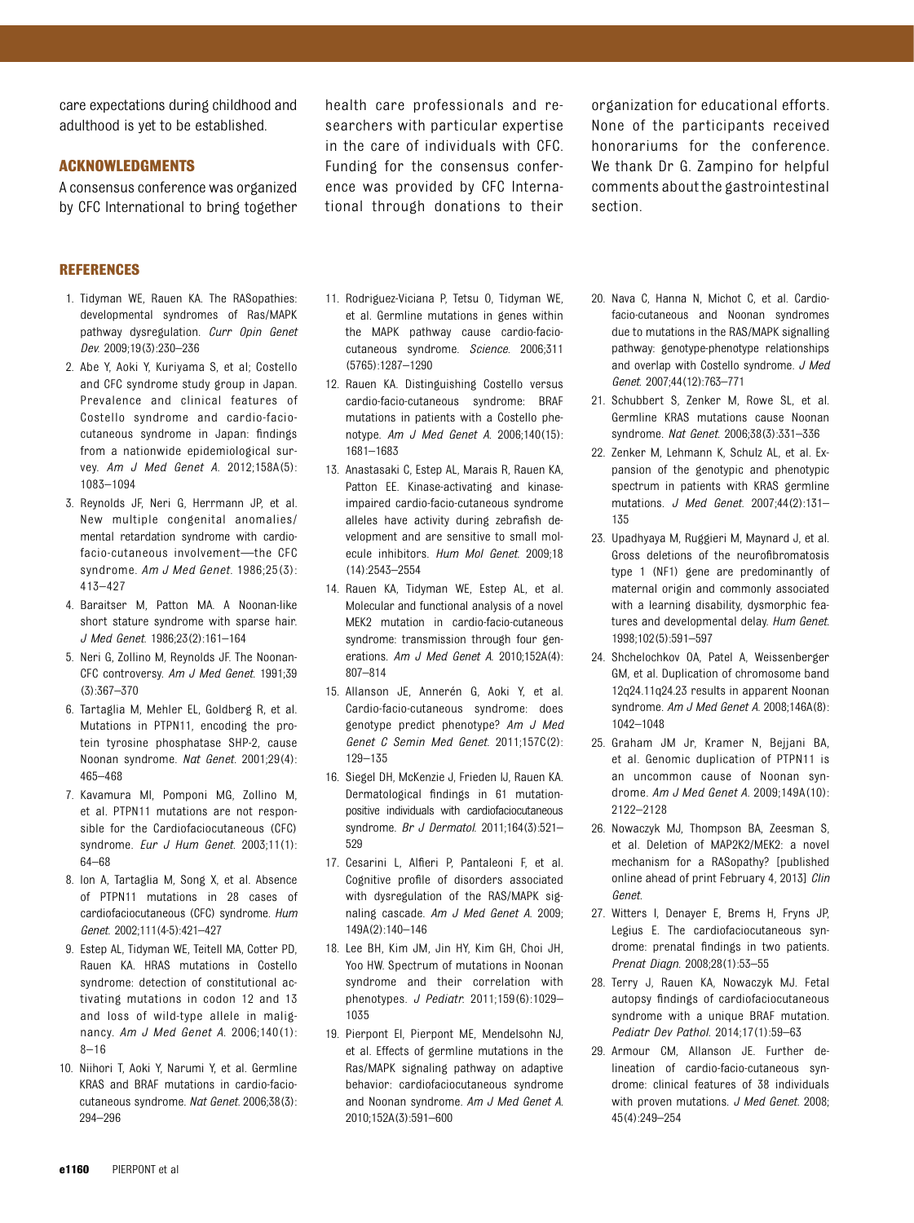care expectations during childhood and adulthood is yet to be established.

#### ACKNOWLEDGMENTS

A consensus conference was organized by CFC International to bring together

REFERENCES

- 1. Tidyman WE, Rauen KA. The RASopathies: developmental syndromes of Ras/MAPK pathway dysregulation. Curr Opin Genet Dev. 2009;19(3):230–236
- 2. Abe Y, Aoki Y, Kuriyama S, et al; Costello and CFC syndrome study group in Japan. Prevalence and clinical features of Costello syndrome and cardio-faciocutaneous syndrome in Japan: findings from a nationwide epidemiological survey. Am J Med Genet A. 2012;158A(5): 1083–1094
- 3. Reynolds JF, Neri G, Herrmann JP, et al. New multiple congenital anomalies/ mental retardation syndrome with cardiofacio-cutaneous involvement—the CFC syndrome. Am J Med Genet. 1986;25(3): 413–427
- 4. Baraitser M, Patton MA. A Noonan-like short stature syndrome with sparse hair. J Med Genet. 1986;23(2):161–164
- 5. Neri G, Zollino M, Reynolds JF. The Noonan-CFC controversy. Am J Med Genet. 1991;39 (3):367–370
- 6. Tartaglia M, Mehler EL, Goldberg R, et al. Mutations in PTPN11, encoding the protein tyrosine phosphatase SHP-2, cause Noonan syndrome. Nat Genet. 2001;29(4): 465–468
- 7. Kavamura MI, Pomponi MG, Zollino M, et al. PTPN11 mutations are not responsible for the Cardiofaciocutaneous (CFC) syndrome. Eur J Hum Genet. 2003;11(1): 64–68
- 8. Ion A, Tartaglia M, Song X, et al. Absence of PTPN11 mutations in 28 cases of cardiofaciocutaneous (CFC) syndrome. Hum Genet. 2002;111(4-5):421–427
- 9. Estep AL, Tidyman WE, Teitell MA, Cotter PD, Rauen KA. HRAS mutations in Costello syndrome: detection of constitutional activating mutations in codon 12 and 13 and loss of wild-type allele in malignancy. Am J Med Genet A. 2006;140(1): 8–16
- 10. Niihori T, Aoki Y, Narumi Y, et al. Germline KRAS and BRAF mutations in cardio-faciocutaneous syndrome. Nat Genet. 2006;38(3): 294–296

health care professionals and researchers with particular expertise in the care of individuals with CFC. Funding for the consensus conference was provided by CFC International through donations to their

organization for educational efforts. None of the participants received honorariums for the conference. We thank Dr G. Zampino for helpful comments about the gastrointestinal section.

- 11. Rodriguez-Viciana P, Tetsu O, Tidyman WE, et al. Germline mutations in genes within the MAPK pathway cause cardio-faciocutaneous syndrome. Science. 2006;311 (5765):1287–1290
- 12. Rauen KA. Distinguishing Costello versus cardio-facio-cutaneous syndrome: BRAF mutations in patients with a Costello phenotype. Am J Med Genet A. 2006;140(15): 1681–1683
- 13. Anastasaki C, Estep AL, Marais R, Rauen KA, Patton EE. Kinase-activating and kinaseimpaired cardio-facio-cutaneous syndrome alleles have activity during zebrafish development and are sensitive to small molecule inhibitors. Hum Mol Genet. 2009;18 (14):2543–2554
- 14. Rauen KA, Tidyman WE, Estep AL, et al. Molecular and functional analysis of a novel MEK2 mutation in cardio-facio-cutaneous syndrome: transmission through four generations. Am J Med Genet A. 2010;152A(4): 807–814
- 15. Allanson JE, Annerén G, Aoki Y, et al. Cardio-facio-cutaneous syndrome: does genotype predict phenotype? Am J Med Genet C Semin Med Genet. 2011;157C(2): 129–135
- 16. Siegel DH, McKenzie J, Frieden IJ, Rauen KA. Dermatological findings in 61 mutationpositive individuals with cardiofaciocutaneous syndrome. Br J Dermatol. 2011;164(3):521– 529
- 17. Cesarini L, Alfieri P, Pantaleoni F, et al. Cognitive profile of disorders associated with dysregulation of the RAS/MAPK signaling cascade. Am J Med Genet A. 2009; 149A(2):140–146
- 18. Lee BH, Kim JM, Jin HY, Kim GH, Choi JH, Yoo HW. Spectrum of mutations in Noonan syndrome and their correlation with phenotypes. J Pediatr. 2011;159(6):1029– 1035
- 19. Pierpont EI, Pierpont ME, Mendelsohn NJ, et al. Effects of germline mutations in the Ras/MAPK signaling pathway on adaptive behavior: cardiofaciocutaneous syndrome and Noonan syndrome. Am J Med Genet A. 2010;152A(3):591–600
- 20. Nava C, Hanna N, Michot C, et al. Cardiofacio-cutaneous and Noonan syndromes due to mutations in the RAS/MAPK signalling pathway: genotype-phenotype relationships and overlap with Costello syndrome. J Med Genet. 2007;44(12):763–771
- 21. Schubbert S, Zenker M, Rowe SL, et al. Germline KRAS mutations cause Noonan syndrome. Nat Genet. 2006;38(3):331–336
- 22. Zenker M, Lehmann K, Schulz AL, et al. Expansion of the genotypic and phenotypic spectrum in patients with KRAS germline mutations. J Med Genet. 2007;44(2):131– 135
- 23. Upadhyaya M, Ruggieri M, Maynard J, et al. Gross deletions of the neurofibromatosis type 1 (NF1) gene are predominantly of maternal origin and commonly associated with a learning disability, dysmorphic features and developmental delay. Hum Genet. 1998;102(5):591–597
- 24. Shchelochkov OA, Patel A, Weissenberger GM, et al. Duplication of chromosome band 12q24.11q24.23 results in apparent Noonan syndrome. Am J Med Genet A. 2008;146A(8): 1042–1048
- 25. Graham JM Jr, Kramer N, Bejjani BA, et al. Genomic duplication of PTPN11 is an uncommon cause of Noonan syndrome. Am J Med Genet A. 2009;149A(10): 2122–2128
- 26. Nowaczyk MJ, Thompson BA, Zeesman S, et al. Deletion of MAP2K2/MEK2: a novel mechanism for a RASopathy? [published online ahead of print February 4, 2013] Clin Genet.
- 27. Witters I, Denayer E, Brems H, Fryns JP, Legius E. The cardiofaciocutaneous syndrome: prenatal findings in two patients. Prenat Diagn. 2008;28(1):53–55
- 28. Terry J, Rauen KA, Nowaczyk MJ. Fetal autopsy findings of cardiofaciocutaneous syndrome with a unique BRAF mutation. Pediatr Dev Pathol. 2014;17(1):59–63
- 29. Armour CM, Allanson JE. Further delineation of cardio-facio-cutaneous syndrome: clinical features of 38 individuals with proven mutations. J Med Genet. 2008: 45(4):249–254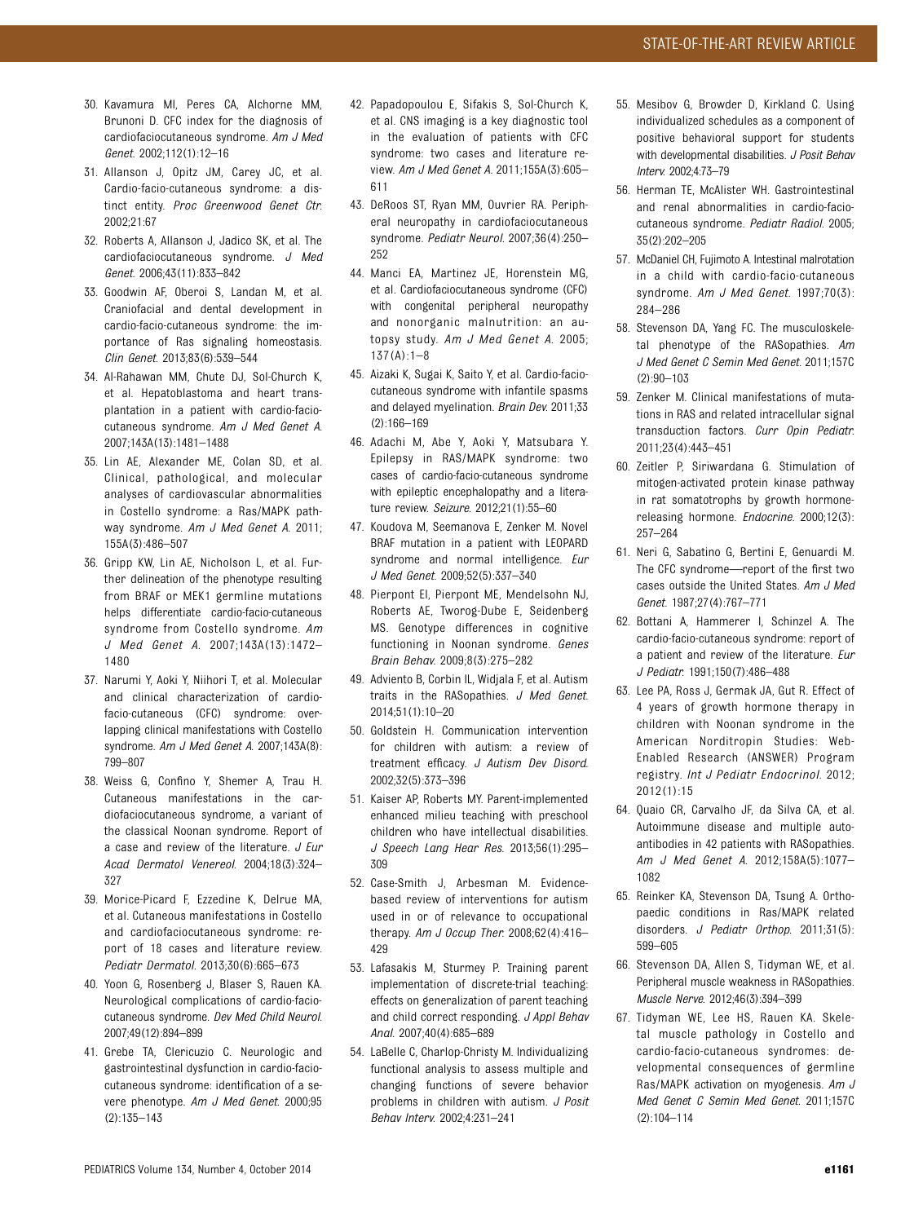- 30. Kavamura MI, Peres CA, Alchorne MM, Brunoni D. CFC index for the diagnosis of cardiofaciocutaneous syndrome. Am J Med Genet. 2002;112(1):12–16
- 31. Allanson J, Opitz JM, Carey JC, et al. Cardio-facio-cutaneous syndrome: a distinct entity. Proc Greenwood Genet Ctr. 2002;21:67
- 32. Roberts A, Allanson J, Jadico SK, et al. The cardiofaciocutaneous syndrome. J Med Genet. 2006;43(11):833–842
- 33. Goodwin AF, Oberoi S, Landan M, et al. Craniofacial and dental development in cardio-facio-cutaneous syndrome: the importance of Ras signaling homeostasis. Clin Genet. 2013;83(6):539–544
- 34. Al-Rahawan MM, Chute DJ, Sol-Church K, et al. Hepatoblastoma and heart transplantation in a patient with cardio-faciocutaneous syndrome. Am J Med Genet A. 2007;143A(13):1481–1488
- 35. Lin AE, Alexander ME, Colan SD, et al. Clinical, pathological, and molecular analyses of cardiovascular abnormalities in Costello syndrome: a Ras/MAPK pathway syndrome. Am J Med Genet A. 2011; 155A(3):486–507
- 36. Gripp KW, Lin AE, Nicholson L, et al. Further delineation of the phenotype resulting from BRAF or MEK1 germline mutations helps differentiate cardio-facio-cutaneous syndrome from Costello syndrome. Am J Med Genet A. 2007;143A(13):1472– 1480
- 37. Narumi Y, Aoki Y, Niihori T, et al. Molecular and clinical characterization of cardiofacio-cutaneous (CFC) syndrome: overlapping clinical manifestations with Costello syndrome. Am J Med Genet A. 2007;143A(8): 799–807
- 38. Weiss G, Confino Y, Shemer A, Trau H. Cutaneous manifestations in the cardiofaciocutaneous syndrome, a variant of the classical Noonan syndrome. Report of a case and review of the literature. J Eur Acad Dermatol Venereol. 2004;18(3):324– 327
- 39. Morice-Picard F, Ezzedine K, Delrue MA, et al. Cutaneous manifestations in Costello and cardiofaciocutaneous syndrome: report of 18 cases and literature review. Pediatr Dermatol. 2013;30(6):665–673
- 40. Yoon G, Rosenberg J, Blaser S, Rauen KA. Neurological complications of cardio-faciocutaneous syndrome. Dev Med Child Neurol. 2007;49(12):894–899
- 41. Grebe TA, Clericuzio C. Neurologic and gastrointestinal dysfunction in cardio-faciocutaneous syndrome: identification of a severe phenotype. Am J Med Genet. 2000;95 (2):135–143
- 42. Papadopoulou E, Sifakis S, Sol-Church K, et al. CNS imaging is a key diagnostic tool in the evaluation of patients with CFC syndrome: two cases and literature review. Am J Med Genet A. 2011;155A(3):605– 611
- 43. DeRoos ST, Ryan MM, Ouvrier RA. Peripheral neuropathy in cardiofaciocutaneous syndrome. Pediatr Neurol. 2007;36(4):250– 252
- 44. Manci EA, Martinez JE, Horenstein MG, et al. Cardiofaciocutaneous syndrome (CFC) with congenital peripheral neuropathy and nonorganic malnutrition: an autopsy study. Am J Med Genet A. 2005; 137(A):1–8
- 45. Aizaki K, Sugai K, Saito Y, et al. Cardio-faciocutaneous syndrome with infantile spasms and delayed myelination. Brain Dev. 2011;33 (2):166–169
- 46. Adachi M, Abe Y, Aoki Y, Matsubara Y. Epilepsy in RAS/MAPK syndrome: two cases of cardio-facio-cutaneous syndrome with epileptic encephalopathy and a literature review. Seizure. 2012;21(1):55–60
- 47. Koudova M, Seemanova E, Zenker M. Novel BRAF mutation in a patient with LEOPARD syndrome and normal intelligence. Eur J Med Genet. 2009;52(5):337–340
- 48. Pierpont EI, Pierpont ME, Mendelsohn NJ, Roberts AE, Tworog-Dube E, Seidenberg MS. Genotype differences in cognitive functioning in Noonan syndrome. Genes Brain Behav. 2009;8(3):275–282
- 49. Adviento B, Corbin IL, Widjala F, et al. Autism traits in the RASopathies. J Med Genet. 2014;51(1):10–20
- 50. Goldstein H. Communication intervention for children with autism: a review of treatment efficacy. J Autism Dev Disord. 2002;32(5):373–396
- 51. Kaiser AP, Roberts MY. Parent-implemented enhanced milieu teaching with preschool children who have intellectual disabilities. J Speech Lang Hear Res. 2013;56(1):295– 309
- 52. Case-Smith J, Arbesman M. Evidencebased review of interventions for autism used in or of relevance to occupational therapy. Am J Occup Ther. 2008;62(4):416-429
- 53. Lafasakis M, Sturmey P. Training parent implementation of discrete-trial teaching: effects on generalization of parent teaching and child correct responding. J Appl Behav Anal. 2007;40(4):685–689
- 54. LaBelle C, Charlop-Christy M. Individualizing functional analysis to assess multiple and changing functions of severe behavior problems in children with autism. J Posit Behav Interv. 2002;4:231–241
- 55. Mesibov G, Browder D, Kirkland C. Using individualized schedules as a component of positive behavioral support for students with developmental disabilities. J Posit Behav Interv. 2002;4:73–79
- 56. Herman TE, McAlister WH. Gastrointestinal and renal abnormalities in cardio-faciocutaneous syndrome. Pediatr Radiol. 2005; 35(2):202–205
- 57. McDaniel CH, Fujimoto A. Intestinal malrotation in a child with cardio-facio-cutaneous syndrome. Am J Med Genet. 1997;70(3): 284–286
- 58. Stevenson DA, Yang FC. The musculoskeletal phenotype of the RASopathies. Am J Med Genet C Semin Med Genet. 2011;157C (2):90–103
- 59. Zenker M. Clinical manifestations of mutations in RAS and related intracellular signal transduction factors. Curr Opin Pediatr. 2011;23(4):443–451
- 60. Zeitler P, Siriwardana G. Stimulation of mitogen-activated protein kinase pathway in rat somatotrophs by growth hormonereleasing hormone. Endocrine. 2000;12(3): 257–264
- 61. Neri G, Sabatino G, Bertini E, Genuardi M. The CFC syndrome—report of the first two cases outside the United States. Am J Med Genet. 1987;27(4):767–771
- 62. Bottani A, Hammerer I, Schinzel A. The cardio-facio-cutaneous syndrome: report of a patient and review of the literature. Eur J Pediatr. 1991;150(7):486–488
- 63. Lee PA, Ross J, Germak JA, Gut R. Effect of 4 years of growth hormone therapy in children with Noonan syndrome in the American Norditropin Studies: Web-Enabled Research (ANSWER) Program registry. Int J Pediatr Endocrinol. 2012; 2012(1):15
- 64. Quaio CR, Carvalho JF, da Silva CA, et al. Autoimmune disease and multiple autoantibodies in 42 patients with RASopathies. Am J Med Genet A. 2012;158A(5):1077– 1082
- 65. Reinker KA, Stevenson DA, Tsung A. Orthopaedic conditions in Ras/MAPK related disorders. J Pediatr Orthop. 2011;31(5): 599–605
- 66. Stevenson DA, Allen S, Tidyman WE, et al. Peripheral muscle weakness in RASopathies. Muscle Nerve. 2012;46(3):394–399
- 67. Tidyman WE, Lee HS, Rauen KA. Skeletal muscle pathology in Costello and cardio-facio-cutaneous syndromes: developmental consequences of germline Ras/MAPK activation on myogenesis. Am J Med Genet C Semin Med Genet. 2011;157C (2):104–114